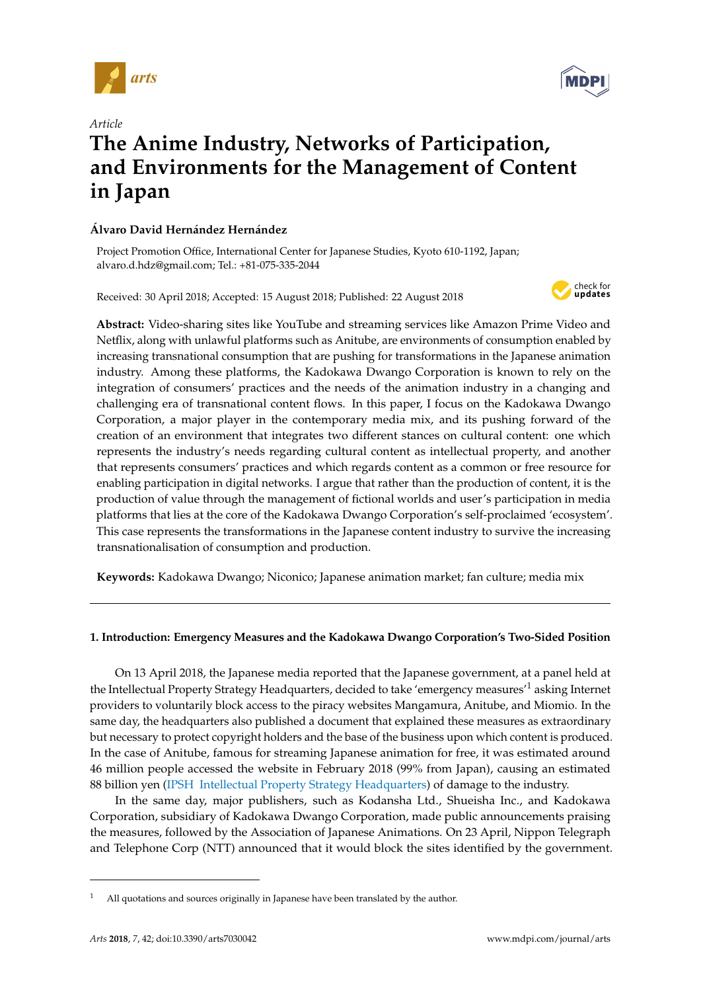

*Article*



# **The Anime Industry, Networks of Participation, and Environments for the Management of Content in Japan**

# **Álvaro David Hernández Hernández**

Project Promotion Office, International Center for Japanese Studies, Kyoto 610-1192, Japan; alvaro.d.hdz@gmail.com; Tel.: +81-075-335-2044

Received: 30 April 2018; Accepted: 15 August 2018; Published: 22 August 2018



**Abstract:** Video-sharing sites like YouTube and streaming services like Amazon Prime Video and Netflix, along with unlawful platforms such as Anitube, are environments of consumption enabled by increasing transnational consumption that are pushing for transformations in the Japanese animation industry. Among these platforms, the Kadokawa Dwango Corporation is known to rely on the integration of consumers' practices and the needs of the animation industry in a changing and challenging era of transnational content flows. In this paper, I focus on the Kadokawa Dwango Corporation, a major player in the contemporary media mix, and its pushing forward of the creation of an environment that integrates two different stances on cultural content: one which represents the industry's needs regarding cultural content as intellectual property, and another that represents consumers' practices and which regards content as a common or free resource for enabling participation in digital networks. I argue that rather than the production of content, it is the production of value through the management of fictional worlds and user's participation in media platforms that lies at the core of the Kadokawa Dwango Corporation's self-proclaimed 'ecosystem'. This case represents the transformations in the Japanese content industry to survive the increasing transnationalisation of consumption and production.

**Keywords:** Kadokawa Dwango; Niconico; Japanese animation market; fan culture; media mix

# **1. Introduction: Emergency Measures and the Kadokawa Dwango Corporation's Two-Sided Position**

On 13 April 2018, the Japanese media reported that the Japanese government, at a panel held at the Intellectual Property Strategy Headquarters, decided to take 'emergency measures'<sup>1</sup> asking Internet providers to voluntarily block access to the piracy websites Mangamura, Anitube, and Miomio. In the same day, the headquarters also published a document that explained these measures as extraordinary but necessary to protect copyright holders and the base of the business upon which content is produced. In the case of Anitube, famous for streaming Japanese animation for free, it was estimated around 46 million people accessed the website in February 2018 (99% from Japan), causing an estimated 88 billion yen [\(IPSH](#page-17-0) [Intellectual Property Strategy Headquarters\)](#page-17-0) of damage to the industry.

In the same day, major publishers, such as Kodansha Ltd., Shueisha Inc., and Kadokawa Corporation, subsidiary of Kadokawa Dwango Corporation, made public announcements praising the measures, followed by the Association of Japanese Animations. On 23 April, Nippon Telegraph and Telephone Corp (NTT) announced that it would block the sites identified by the government.

All quotations and sources originally in Japanese have been translated by the author.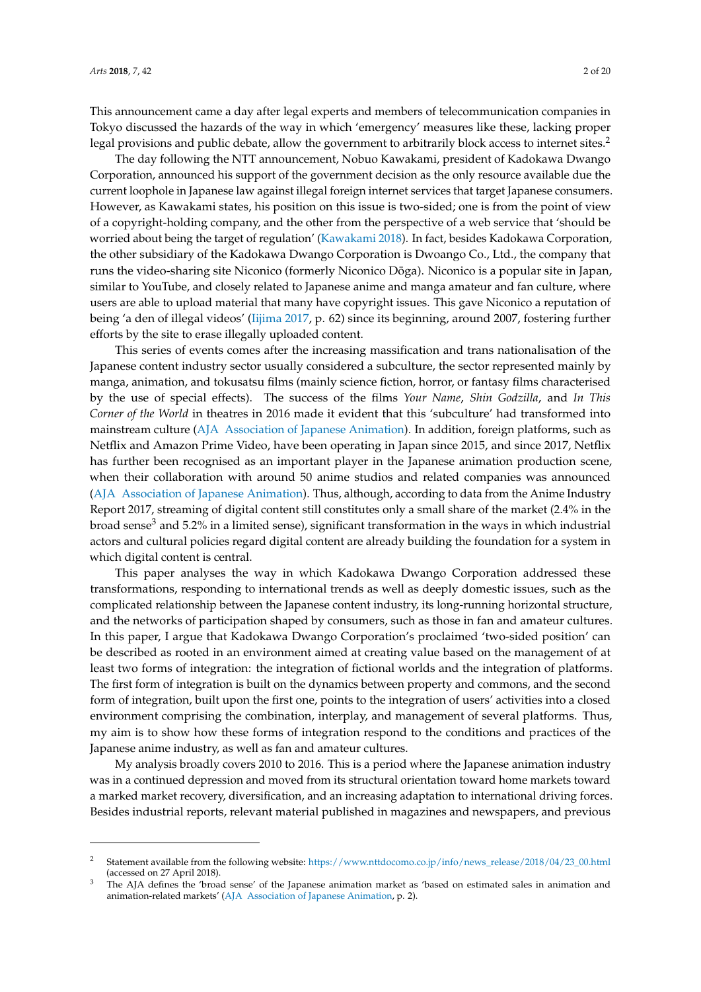This announcement came a day after legal experts and members of telecommunication companies in Tokyo discussed the hazards of the way in which 'emergency' measures like these, lacking proper legal provisions and public debate, allow the government to arbitrarily block access to internet sites.<sup>2</sup>

The day following the NTT announcement, Nobuo Kawakami, president of Kadokawa Dwango Corporation, announced his support of the government decision as the only resource available due the current loophole in Japanese law against illegal foreign internet services that target Japanese consumers. However, as Kawakami states, his position on this issue is two-sided; one is from the point of view of a copyright-holding company, and the other from the perspective of a web service that 'should be worried about being the target of regulation' [\(Kawakami](#page-17-1) [2018\)](#page-17-1). In fact, besides Kadokawa Corporation, the other subsidiary of the Kadokawa Dwango Corporation is Dwoango Co., Ltd., the company that runs the video-sharing site Niconico (formerly Niconico Dōga). Niconico is a popular site in Japan, similar to YouTube, and closely related to Japanese anime and manga amateur and fan culture, where users are able to upload material that many have copyright issues. This gave Niconico a reputation of being 'a den of illegal videos' [\(Iijima](#page-17-2) [2017,](#page-17-2) p. 62) since its beginning, around 2007, fostering further efforts by the site to erase illegally uploaded content.

This series of events comes after the increasing massification and trans nationalisation of the Japanese content industry sector usually considered a subculture, the sector represented mainly by manga, animation, and tokusatsu films (mainly science fiction, horror, or fantasy films characterised by the use of special effects). The success of the films *Your Name*, *Shin Godzilla*, and *In This Corner of the World* in theatres in 2016 made it evident that this 'subculture' had transformed into mainstream culture [\(AJA](#page-16-0) [Association of Japanese Animation\)](#page-16-0). In addition, foreign platforms, such as Netflix and Amazon Prime Video, have been operating in Japan since 2015, and since 2017, Netflix has further been recognised as an important player in the Japanese animation production scene, when their collaboration with around 50 anime studios and related companies was announced [\(AJA](#page-16-0) [Association of Japanese Animation\)](#page-16-0). Thus, although, according to data from the Anime Industry Report 2017, streaming of digital content still constitutes only a small share of the market (2.4% in the broad sense<sup>3</sup> and 5.2% in a limited sense), significant transformation in the ways in which industrial actors and cultural policies regard digital content are already building the foundation for a system in which digital content is central.

This paper analyses the way in which Kadokawa Dwango Corporation addressed these transformations, responding to international trends as well as deeply domestic issues, such as the complicated relationship between the Japanese content industry, its long-running horizontal structure, and the networks of participation shaped by consumers, such as those in fan and amateur cultures. In this paper, I argue that Kadokawa Dwango Corporation's proclaimed 'two-sided position' can be described as rooted in an environment aimed at creating value based on the management of at least two forms of integration: the integration of fictional worlds and the integration of platforms. The first form of integration is built on the dynamics between property and commons, and the second form of integration, built upon the first one, points to the integration of users' activities into a closed environment comprising the combination, interplay, and management of several platforms. Thus, my aim is to show how these forms of integration respond to the conditions and practices of the Japanese anime industry, as well as fan and amateur cultures.

My analysis broadly covers 2010 to 2016. This is a period where the Japanese animation industry was in a continued depression and moved from its structural orientation toward home markets toward a marked market recovery, diversification, and an increasing adaptation to international driving forces. Besides industrial reports, relevant material published in magazines and newspapers, and previous

<sup>2</sup> Statement available from the following website: [https://www.nttdocomo.co.jp/info/news\\_release/2018/04/23\\_00.html](https://www.nttdocomo.co.jp/info/news_release/2018/04/23_00.html) (accessed on 27 April 2018).

<sup>&</sup>lt;sup>3</sup> The AJA defines the 'broad sense' of the Japanese animation market as 'based on estimated sales in animation and animation-related markets' [\(AJA](#page-16-1) [Association of Japanese Animation,](#page-16-1) p. 2).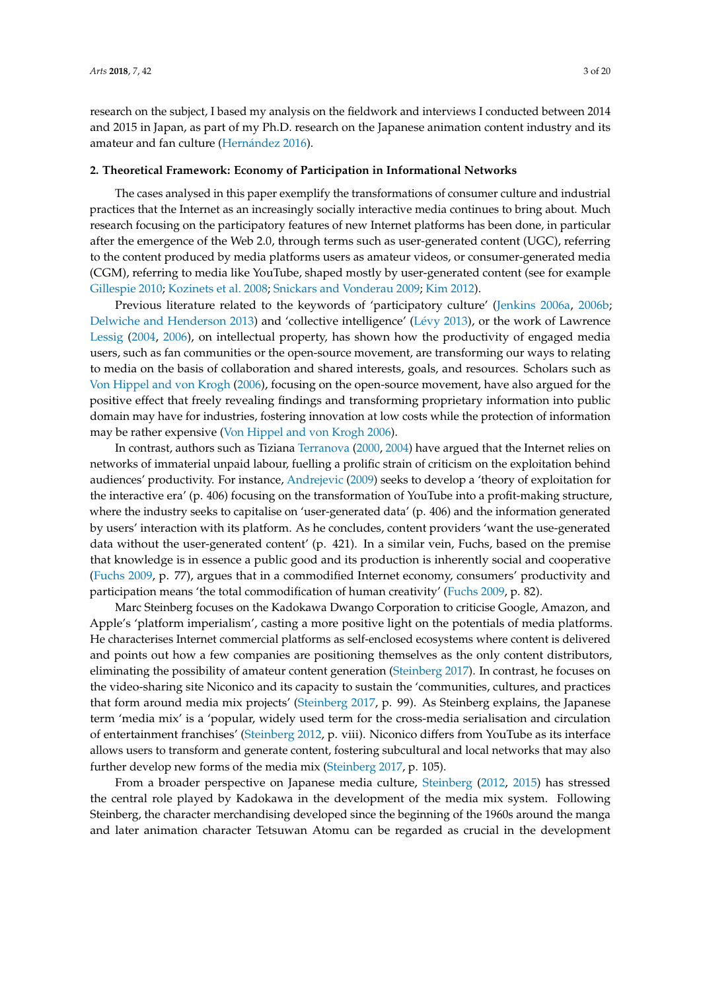research on the subject, I based my analysis on the fieldwork and interviews I conducted between 2014 and 2015 in Japan, as part of my Ph.D. research on the Japanese animation content industry and its amateur and fan culture [\(Hern](#page-17-3)ández [2016\)](#page-17-3).

#### **2. Theoretical Framework: Economy of Participation in Informational Networks**

The cases analysed in this paper exemplify the transformations of consumer culture and industrial practices that the Internet as an increasingly socially interactive media continues to bring about. Much research focusing on the participatory features of new Internet platforms has been done, in particular after the emergence of the Web 2.0, through terms such as user-generated content (UGC), referring to the content produced by media platforms users as amateur videos, or consumer-generated media (CGM), referring to media like YouTube, shaped mostly by user-generated content (see for example [Gillespie](#page-16-2) [2010;](#page-16-2) [Kozinets et al.](#page-18-0) [2008;](#page-18-0) [Snickars and Vonderau](#page-18-1) [2009;](#page-18-1) [Kim](#page-17-4) [2012\)](#page-17-4).

Previous literature related to the keywords of 'participatory culture' [\(Jenkins](#page-17-5) [2006a,](#page-17-5) [2006b;](#page-17-6) [Delwiche and Henderson](#page-16-3) [2013\)](#page-16-3) and 'collective intelligence' (Lé[vy](#page-18-2) [2013\)](#page-18-2), or the work of Lawrence [Lessig](#page-18-3) [\(2004,](#page-18-3) [2006\)](#page-18-4), on intellectual property, has shown how the productivity of engaged media users, such as fan communities or the open-source movement, are transforming our ways to relating to media on the basis of collaboration and shared interests, goals, and resources. Scholars such as [Von Hippel and von Krogh](#page-19-0) [\(2006\)](#page-19-0), focusing on the open-source movement, have also argued for the positive effect that freely revealing findings and transforming proprietary information into public domain may have for industries, fostering innovation at low costs while the protection of information may be rather expensive [\(Von Hippel and von Krogh](#page-19-0) [2006\)](#page-19-0).

In contrast, authors such as Tiziana [Terranova](#page-18-5) [\(2000,](#page-18-5) [2004\)](#page-19-1) have argued that the Internet relies on networks of immaterial unpaid labour, fuelling a prolific strain of criticism on the exploitation behind audiences' productivity. For instance, [Andrejevic](#page-16-4) [\(2009\)](#page-16-4) seeks to develop a 'theory of exploitation for the interactive era' (p. 406) focusing on the transformation of YouTube into a profit-making structure, where the industry seeks to capitalise on 'user-generated data' (p. 406) and the information generated by users' interaction with its platform. As he concludes, content providers 'want the use-generated data without the user-generated content' (p. 421). In a similar vein, Fuchs, based on the premise that knowledge is in essence a public good and its production is inherently social and cooperative [\(Fuchs](#page-16-5) [2009,](#page-16-5) p. 77), argues that in a commodified Internet economy, consumers' productivity and participation means 'the total commodification of human creativity' [\(Fuchs](#page-16-5) [2009,](#page-16-5) p. 82).

Marc Steinberg focuses on the Kadokawa Dwango Corporation to criticise Google, Amazon, and Apple's 'platform imperialism', casting a more positive light on the potentials of media platforms. He characterises Internet commercial platforms as self-enclosed ecosystems where content is delivered and points out how a few companies are positioning themselves as the only content distributors, eliminating the possibility of amateur content generation [\(Steinberg](#page-18-6) [2017\)](#page-18-6). In contrast, he focuses on the video-sharing site Niconico and its capacity to sustain the 'communities, cultures, and practices that form around media mix projects' [\(Steinberg](#page-18-6) [2017,](#page-18-6) p. 99). As Steinberg explains, the Japanese term 'media mix' is a 'popular, widely used term for the cross-media serialisation and circulation of entertainment franchises' [\(Steinberg](#page-18-7) [2012,](#page-18-7) p. viii). Niconico differs from YouTube as its interface allows users to transform and generate content, fostering subcultural and local networks that may also further develop new forms of the media mix [\(Steinberg](#page-18-6) [2017,](#page-18-6) p. 105).

From a broader perspective on Japanese media culture, [Steinberg](#page-18-7) [\(2012,](#page-18-7) [2015\)](#page-18-8) has stressed the central role played by Kadokawa in the development of the media mix system. Following Steinberg, the character merchandising developed since the beginning of the 1960s around the manga and later animation character Tetsuwan Atomu can be regarded as crucial in the development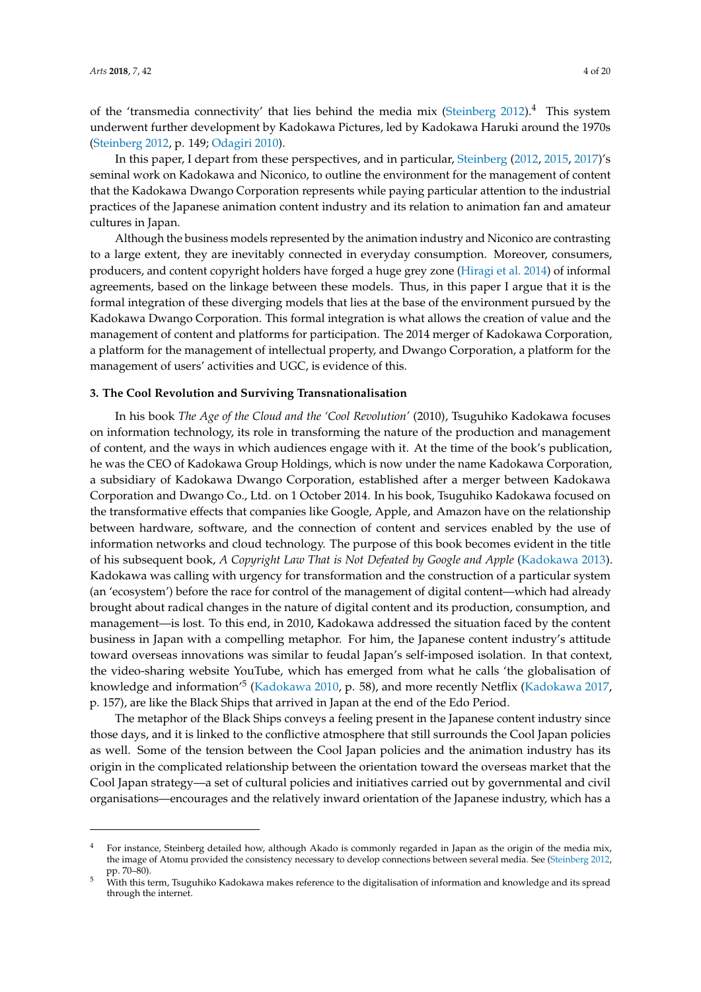of the 'transmedia connectivity' that lies behind the media mix [\(Steinberg](#page-18-7) [2012\)](#page-18-7).<sup>4</sup> This system underwent further development by Kadokawa Pictures, led by Kadokawa Haruki around the 1970s [\(Steinberg](#page-18-7) [2012,](#page-18-7) p. 149; [Odagiri](#page-18-9) [2010\)](#page-18-9).

In this paper, I depart from these perspectives, and in particular, [Steinberg](#page-18-7) [\(2012,](#page-18-7) [2015,](#page-18-8) [2017\)](#page-18-6)'s seminal work on Kadokawa and Niconico, to outline the environment for the management of content that the Kadokawa Dwango Corporation represents while paying particular attention to the industrial practices of the Japanese animation content industry and its relation to animation fan and amateur cultures in Japan.

Although the business models represented by the animation industry and Niconico are contrasting to a large extent, they are inevitably connected in everyday consumption. Moreover, consumers, producers, and content copyright holders have forged a huge grey zone [\(Hiragi et al.](#page-17-7) [2014\)](#page-17-7) of informal agreements, based on the linkage between these models. Thus, in this paper I argue that it is the formal integration of these diverging models that lies at the base of the environment pursued by the Kadokawa Dwango Corporation. This formal integration is what allows the creation of value and the management of content and platforms for participation. The 2014 merger of Kadokawa Corporation, a platform for the management of intellectual property, and Dwango Corporation, a platform for the management of users' activities and UGC, is evidence of this.

# **3. The Cool Revolution and Surviving Transnationalisation**

In his book *The Age of the Cloud and the 'Cool Revolution'* (2010), Tsuguhiko Kadokawa focuses on information technology, its role in transforming the nature of the production and management of content, and the ways in which audiences engage with it. At the time of the book's publication, he was the CEO of Kadokawa Group Holdings, which is now under the name Kadokawa Corporation, a subsidiary of Kadokawa Dwango Corporation, established after a merger between Kadokawa Corporation and Dwango Co., Ltd. on 1 October 2014. In his book, Tsuguhiko Kadokawa focused on the transformative effects that companies like Google, Apple, and Amazon have on the relationship between hardware, software, and the connection of content and services enabled by the use of information networks and cloud technology. The purpose of this book becomes evident in the title of his subsequent book, *A Copyright Law That is Not Defeated by Google and Apple* [\(Kadokawa](#page-17-8) [2013\)](#page-17-8). Kadokawa was calling with urgency for transformation and the construction of a particular system (an 'ecosystem') before the race for control of the management of digital content—which had already brought about radical changes in the nature of digital content and its production, consumption, and management—is lost. To this end, in 2010, Kadokawa addressed the situation faced by the content business in Japan with a compelling metaphor. For him, the Japanese content industry's attitude toward overseas innovations was similar to feudal Japan's self-imposed isolation. In that context, the video-sharing website YouTube, which has emerged from what he calls 'the globalisation of knowledge and information'<sup>5</sup> [\(Kadokawa](#page-17-10) [2010,](#page-17-9) p. 58), and more recently Netflix (Kadokawa [2017,](#page-17-10) p. 157), are like the Black Ships that arrived in Japan at the end of the Edo Period.

The metaphor of the Black Ships conveys a feeling present in the Japanese content industry since those days, and it is linked to the conflictive atmosphere that still surrounds the Cool Japan policies as well. Some of the tension between the Cool Japan policies and the animation industry has its origin in the complicated relationship between the orientation toward the overseas market that the Cool Japan strategy—a set of cultural policies and initiatives carried out by governmental and civil organisations—encourages and the relatively inward orientation of the Japanese industry, which has a

<sup>4</sup> For instance, Steinberg detailed how, although Akado is commonly regarded in Japan as the origin of the media mix, the image of Atomu provided the consistency necessary to develop connections between several media. See [\(Steinberg](#page-18-7) [2012,](#page-18-7) pp. 70–80).

<sup>5</sup> With this term, Tsuguhiko Kadokawa makes reference to the digitalisation of information and knowledge and its spread through the internet.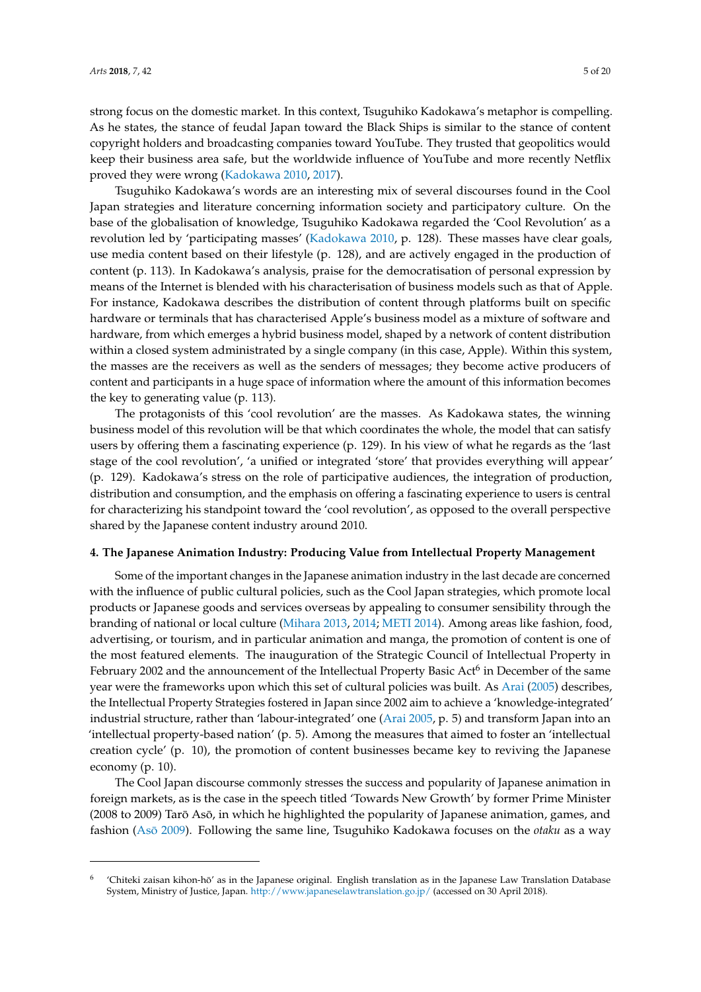strong focus on the domestic market. In this context, Tsuguhiko Kadokawa's metaphor is compelling. As he states, the stance of feudal Japan toward the Black Ships is similar to the stance of content copyright holders and broadcasting companies toward YouTube. They trusted that geopolitics would keep their business area safe, but the worldwide influence of YouTube and more recently Netflix proved they were wrong [\(Kadokawa](#page-17-9) [2010,](#page-17-9) [2017\)](#page-17-10).

Tsuguhiko Kadokawa's words are an interesting mix of several discourses found in the Cool Japan strategies and literature concerning information society and participatory culture. On the base of the globalisation of knowledge, Tsuguhiko Kadokawa regarded the 'Cool Revolution' as a revolution led by 'participating masses' [\(Kadokawa](#page-17-9) [2010,](#page-17-9) p. 128). These masses have clear goals, use media content based on their lifestyle (p. 128), and are actively engaged in the production of content (p. 113). In Kadokawa's analysis, praise for the democratisation of personal expression by means of the Internet is blended with his characterisation of business models such as that of Apple. For instance, Kadokawa describes the distribution of content through platforms built on specific hardware or terminals that has characterised Apple's business model as a mixture of software and hardware, from which emerges a hybrid business model, shaped by a network of content distribution within a closed system administrated by a single company (in this case, Apple). Within this system, the masses are the receivers as well as the senders of messages; they become active producers of content and participants in a huge space of information where the amount of this information becomes the key to generating value (p. 113).

The protagonists of this 'cool revolution' are the masses. As Kadokawa states, the winning business model of this revolution will be that which coordinates the whole, the model that can satisfy users by offering them a fascinating experience (p. 129). In his view of what he regards as the 'last stage of the cool revolution', 'a unified or integrated 'store' that provides everything will appear' (p. 129). Kadokawa's stress on the role of participative audiences, the integration of production, distribution and consumption, and the emphasis on offering a fascinating experience to users is central for characterizing his standpoint toward the 'cool revolution', as opposed to the overall perspective shared by the Japanese content industry around 2010.

## **4. The Japanese Animation Industry: Producing Value from Intellectual Property Management**

Some of the important changes in the Japanese animation industry in the last decade are concerned with the influence of public cultural policies, such as the Cool Japan strategies, which promote local products or Japanese goods and services overseas by appealing to consumer sensibility through the branding of national or local culture [\(Mihara](#page-18-10) [2013,](#page-18-10) [2014;](#page-18-11) [METI](#page-18-12) [2014\)](#page-18-12). Among areas like fashion, food, advertising, or tourism, and in particular animation and manga, the promotion of content is one of the most featured elements. The inauguration of the Strategic Council of Intellectual Property in February 2002 and the announcement of the Intellectual Property Basic Act<sup>6</sup> in December of the same year were the frameworks upon which this set of cultural policies was built. As [Arai](#page-16-6) [\(2005\)](#page-16-6) describes, the Intellectual Property Strategies fostered in Japan since 2002 aim to achieve a 'knowledge-integrated' industrial structure, rather than 'labour-integrated' one [\(Arai](#page-16-6) [2005,](#page-16-6) p. 5) and transform Japan into an 'intellectual property-based nation' (p. 5). Among the measures that aimed to foster an 'intellectual creation cycle' (p. 10), the promotion of content businesses became key to reviving the Japanese economy (p. 10).

The Cool Japan discourse commonly stresses the success and popularity of Japanese animation in foreign markets, as is the case in the speech titled 'Towards New Growth' by former Prime Minister  $(2008$  to 2009) Tarō Asō, in which he highlighted the popularity of Japanese animation, games, and fashion (Asō [2009\)](#page-16-7). Following the same line, Tsuguhiko Kadokawa focuses on the *otaku* as a way

<sup>6</sup> 'Chiteki zaisan kihon-hō' as in the Japanese original. English translation as in the Japanese Law Translation Database System, Ministry of Justice, Japan. <http://www.japaneselawtranslation.go.jp/> (accessed on 30 April 2018).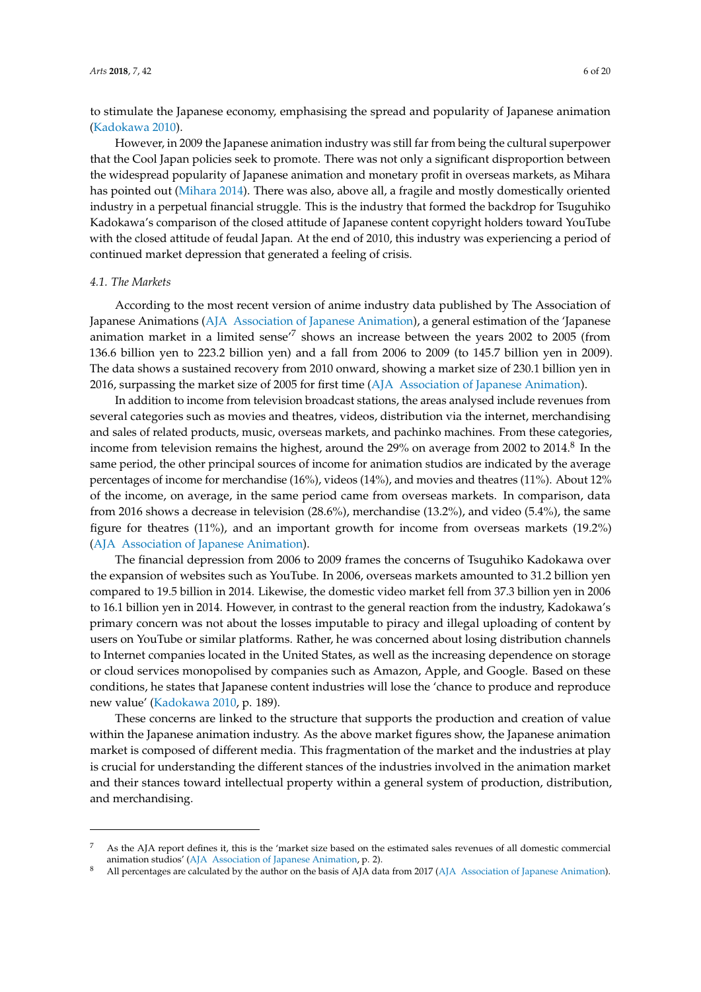to stimulate the Japanese economy, emphasising the spread and popularity of Japanese animation [\(Kadokawa](#page-17-9) [2010\)](#page-17-9).

However, in 2009 the Japanese animation industry was still far from being the cultural superpower that the Cool Japan policies seek to promote. There was not only a significant disproportion between the widespread popularity of Japanese animation and monetary profit in overseas markets, as Mihara has pointed out [\(Mihara](#page-18-11) [2014\)](#page-18-11). There was also, above all, a fragile and mostly domestically oriented industry in a perpetual financial struggle. This is the industry that formed the backdrop for Tsuguhiko Kadokawa's comparison of the closed attitude of Japanese content copyright holders toward YouTube with the closed attitude of feudal Japan. At the end of 2010, this industry was experiencing a period of continued market depression that generated a feeling of crisis.

#### *4.1. The Markets*

According to the most recent version of anime industry data published by The Association of Japanese Animations [\(AJA](#page-16-1) [Association of Japanese Animation\)](#page-16-1), a general estimation of the 'Japanese animation market in a limited sense<sup>7</sup> shows an increase between the years 2002 to 2005 (from 136.6 billion yen to 223.2 billion yen) and a fall from 2006 to 2009 (to 145.7 billion yen in 2009). The data shows a sustained recovery from 2010 onward, showing a market size of 230.1 billion yen in 2016, surpassing the market size of 2005 for first time [\(AJA](#page-16-0) [Association of Japanese Animation\)](#page-16-0).

In addition to income from television broadcast stations, the areas analysed include revenues from several categories such as movies and theatres, videos, distribution via the internet, merchandising and sales of related products, music, overseas markets, and pachinko machines. From these categories, income from television remains the highest, around the 29% on average from 2002 to 2014. $^8$  In the same period, the other principal sources of income for animation studios are indicated by the average percentages of income for merchandise (16%), videos (14%), and movies and theatres (11%). About 12% of the income, on average, in the same period came from overseas markets. In comparison, data from 2016 shows a decrease in television (28.6%), merchandise (13.2%), and video (5.4%), the same figure for theatres (11%), and an important growth for income from overseas markets (19.2%) [\(AJA](#page-16-0) [Association of Japanese Animation\)](#page-16-0).

The financial depression from 2006 to 2009 frames the concerns of Tsuguhiko Kadokawa over the expansion of websites such as YouTube. In 2006, overseas markets amounted to 31.2 billion yen compared to 19.5 billion in 2014. Likewise, the domestic video market fell from 37.3 billion yen in 2006 to 16.1 billion yen in 2014. However, in contrast to the general reaction from the industry, Kadokawa's primary concern was not about the losses imputable to piracy and illegal uploading of content by users on YouTube or similar platforms. Rather, he was concerned about losing distribution channels to Internet companies located in the United States, as well as the increasing dependence on storage or cloud services monopolised by companies such as Amazon, Apple, and Google. Based on these conditions, he states that Japanese content industries will lose the 'chance to produce and reproduce new value' [\(Kadokawa](#page-17-9) [2010,](#page-17-9) p. 189).

These concerns are linked to the structure that supports the production and creation of value within the Japanese animation industry. As the above market figures show, the Japanese animation market is composed of different media. This fragmentation of the market and the industries at play is crucial for understanding the different stances of the industries involved in the animation market and their stances toward intellectual property within a general system of production, distribution, and merchandising.

<sup>7</sup> As the AJA report defines it, this is the 'market size based on the estimated sales revenues of all domestic commercial animation studios' [\(AJA](#page-16-1) [Association of Japanese Animation,](#page-16-1) p. 2).

All percentages are calculated by the author on the basis of AJA data from 2017 [\(AJA](#page-16-0) [Association of Japanese Animation\)](#page-16-0).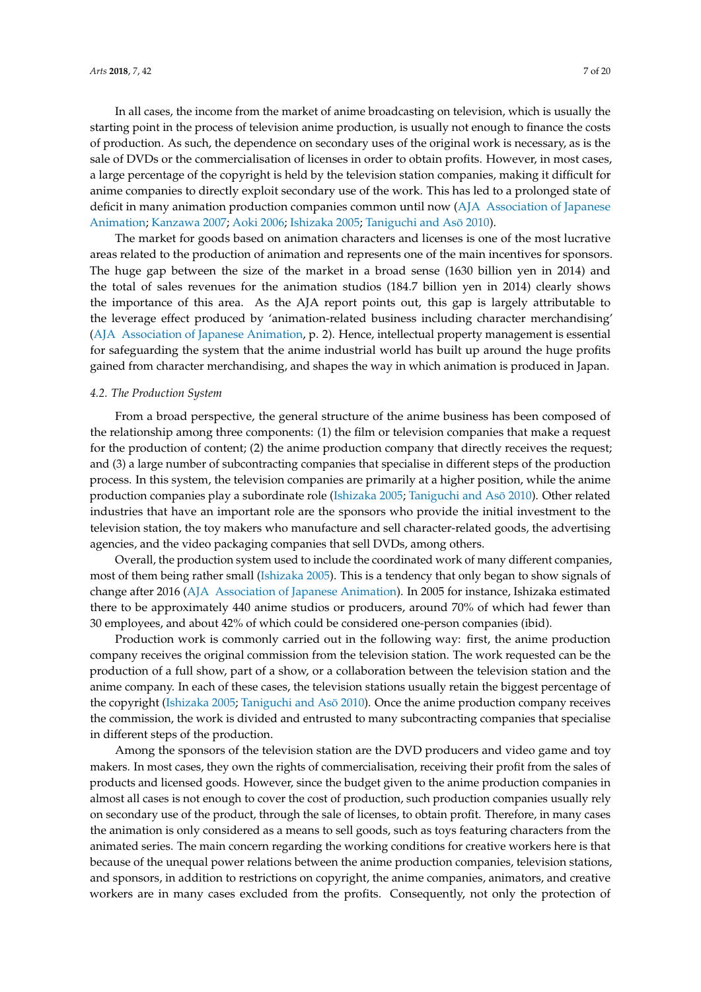In all cases, the income from the market of anime broadcasting on television, which is usually the starting point in the process of television anime production, is usually not enough to finance the costs of production. As such, the dependence on secondary uses of the original work is necessary, as is the sale of DVDs or the commercialisation of licenses in order to obtain profits. However, in most cases, a large percentage of the copyright is held by the television station companies, making it difficult for anime companies to directly exploit secondary use of the work. This has led to a prolonged state of deficit in many animation production companies common until now [\(AJA](#page-16-0) [Association of Japanese](#page-16-0) [Animation;](#page-16-0) [Kanzawa](#page-17-11) [2007;](#page-17-11) [Aoki](#page-16-8) [2006;](#page-16-8) [Ishizaka](#page-17-12) [2005;](#page-17-12) Taniguchi and Asō [2010\)](#page-18-13).

The market for goods based on animation characters and licenses is one of the most lucrative areas related to the production of animation and represents one of the main incentives for sponsors. The huge gap between the size of the market in a broad sense (1630 billion yen in 2014) and the total of sales revenues for the animation studios (184.7 billion yen in 2014) clearly shows the importance of this area. As the AJA report points out, this gap is largely attributable to the leverage effect produced by 'animation-related business including character merchandising' [\(AJA](#page-16-1) [Association of Japanese Animation,](#page-16-1) p. 2). Hence, intellectual property management is essential for safeguarding the system that the anime industrial world has built up around the huge profits gained from character merchandising, and shapes the way in which animation is produced in Japan.

## *4.2. The Production System*

From a broad perspective, the general structure of the anime business has been composed of the relationship among three components: (1) the film or television companies that make a request for the production of content; (2) the anime production company that directly receives the request; and (3) a large number of subcontracting companies that specialise in different steps of the production process. In this system, the television companies are primarily at a higher position, while the anime production companies play a subordinate role [\(Ishizaka](#page-17-12) [2005;](#page-17-12) Taniguchi and Asō [2010\)](#page-18-13). Other related industries that have an important role are the sponsors who provide the initial investment to the television station, the toy makers who manufacture and sell character-related goods, the advertising agencies, and the video packaging companies that sell DVDs, among others.

Overall, the production system used to include the coordinated work of many different companies, most of them being rather small [\(Ishizaka](#page-17-12) [2005\)](#page-17-12). This is a tendency that only began to show signals of change after 2016 [\(AJA](#page-16-0) [Association of Japanese Animation\)](#page-16-0). In 2005 for instance, Ishizaka estimated there to be approximately 440 anime studios or producers, around 70% of which had fewer than 30 employees, and about 42% of which could be considered one-person companies (ibid).

Production work is commonly carried out in the following way: first, the anime production company receives the original commission from the television station. The work requested can be the production of a full show, part of a show, or a collaboration between the television station and the anime company. In each of these cases, the television stations usually retain the biggest percentage of the copyright [\(Ishizaka](#page-17-12) [2005;](#page-17-12) Taniguchi and Asō [2010\)](#page-18-13). Once the anime production company receives the commission, the work is divided and entrusted to many subcontracting companies that specialise in different steps of the production.

Among the sponsors of the television station are the DVD producers and video game and toy makers. In most cases, they own the rights of commercialisation, receiving their profit from the sales of products and licensed goods. However, since the budget given to the anime production companies in almost all cases is not enough to cover the cost of production, such production companies usually rely on secondary use of the product, through the sale of licenses, to obtain profit. Therefore, in many cases the animation is only considered as a means to sell goods, such as toys featuring characters from the animated series. The main concern regarding the working conditions for creative workers here is that because of the unequal power relations between the anime production companies, television stations, and sponsors, in addition to restrictions on copyright, the anime companies, animators, and creative workers are in many cases excluded from the profits. Consequently, not only the protection of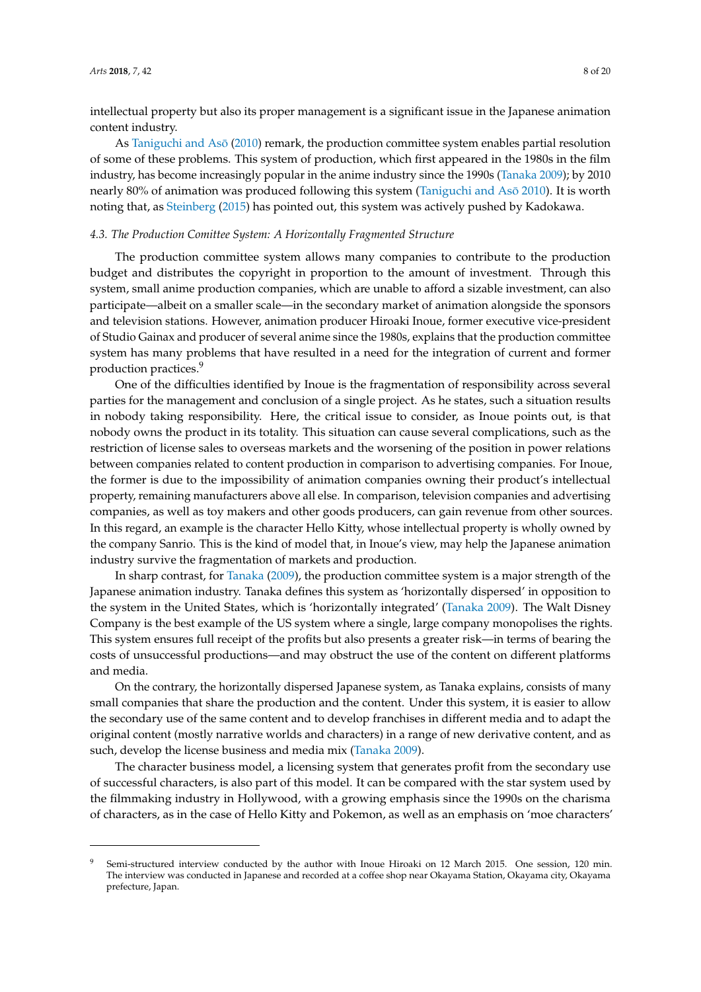intellectual property but also its proper management is a significant issue in the Japanese animation content industry.

As Taniguchi and  $As\bar{o}$  [\(2010\)](#page-18-13) remark, the production committee system enables partial resolution of some of these problems. This system of production, which first appeared in the 1980s in the film industry, has become increasingly popular in the anime industry since the 1990s [\(Tanaka](#page-18-14) [2009\)](#page-18-14); by 2010 nearly 80% of animation was produced following this system (Taniguchi and Asō [2010\)](#page-18-13). It is worth noting that, as [Steinberg](#page-18-8) [\(2015\)](#page-18-8) has pointed out, this system was actively pushed by Kadokawa.

## *4.3. The Production Comittee System: A Horizontally Fragmented Structure*

The production committee system allows many companies to contribute to the production budget and distributes the copyright in proportion to the amount of investment. Through this system, small anime production companies, which are unable to afford a sizable investment, can also participate—albeit on a smaller scale—in the secondary market of animation alongside the sponsors and television stations. However, animation producer Hiroaki Inoue, former executive vice-president of Studio Gainax and producer of several anime since the 1980s, explains that the production committee system has many problems that have resulted in a need for the integration of current and former production practices.<sup>9</sup>

One of the difficulties identified by Inoue is the fragmentation of responsibility across several parties for the management and conclusion of a single project. As he states, such a situation results in nobody taking responsibility. Here, the critical issue to consider, as Inoue points out, is that nobody owns the product in its totality. This situation can cause several complications, such as the restriction of license sales to overseas markets and the worsening of the position in power relations between companies related to content production in comparison to advertising companies. For Inoue, the former is due to the impossibility of animation companies owning their product's intellectual property, remaining manufacturers above all else. In comparison, television companies and advertising companies, as well as toy makers and other goods producers, can gain revenue from other sources. In this regard, an example is the character Hello Kitty, whose intellectual property is wholly owned by the company Sanrio. This is the kind of model that, in Inoue's view, may help the Japanese animation industry survive the fragmentation of markets and production.

In sharp contrast, for [Tanaka](#page-18-14) [\(2009\)](#page-18-14), the production committee system is a major strength of the Japanese animation industry. Tanaka defines this system as 'horizontally dispersed' in opposition to the system in the United States, which is 'horizontally integrated' [\(Tanaka](#page-18-14) [2009\)](#page-18-14). The Walt Disney Company is the best example of the US system where a single, large company monopolises the rights. This system ensures full receipt of the profits but also presents a greater risk—in terms of bearing the costs of unsuccessful productions—and may obstruct the use of the content on different platforms and media.

On the contrary, the horizontally dispersed Japanese system, as Tanaka explains, consists of many small companies that share the production and the content. Under this system, it is easier to allow the secondary use of the same content and to develop franchises in different media and to adapt the original content (mostly narrative worlds and characters) in a range of new derivative content, and as such, develop the license business and media mix [\(Tanaka](#page-18-14) [2009\)](#page-18-14).

The character business model, a licensing system that generates profit from the secondary use of successful characters, is also part of this model. It can be compared with the star system used by the filmmaking industry in Hollywood, with a growing emphasis since the 1990s on the charisma of characters, as in the case of Hello Kitty and Pokemon, as well as an emphasis on 'moe characters'

<sup>9</sup> Semi-structured interview conducted by the author with Inoue Hiroaki on 12 March 2015. One session, 120 min. The interview was conducted in Japanese and recorded at a coffee shop near Okayama Station, Okayama city, Okayama prefecture, Japan.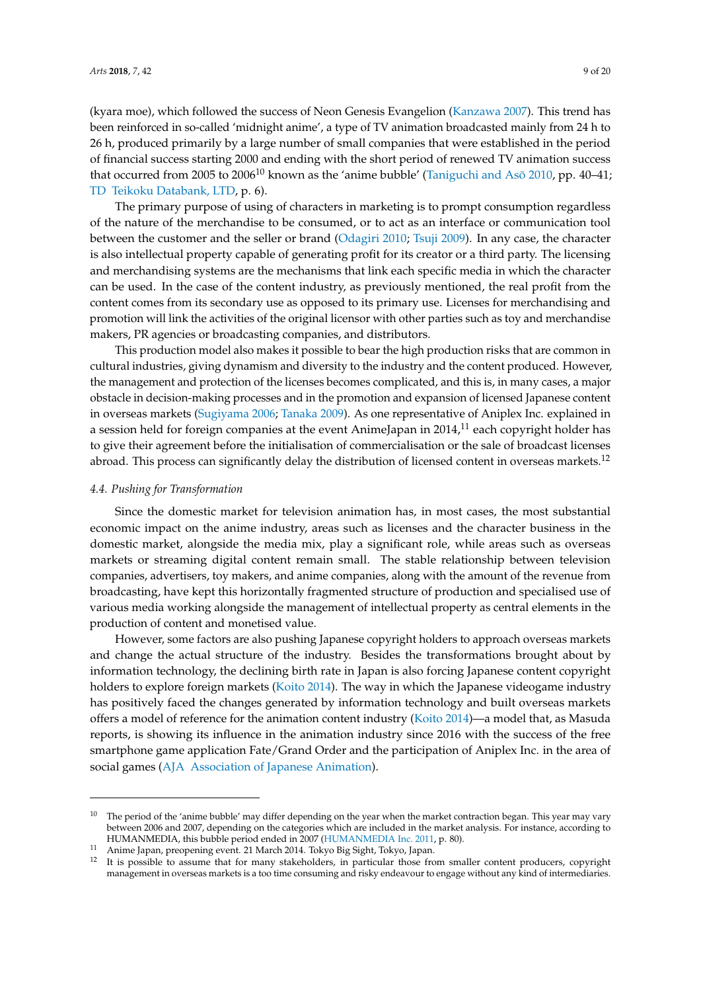(kyara moe), which followed the success of Neon Genesis Evangelion [\(Kanzawa](#page-17-11) [2007\)](#page-17-11). This trend has been reinforced in so-called 'midnight anime', a type of TV animation broadcasted mainly from 24 h to 26 h, produced primarily by a large number of small companies that were established in the period of financial success starting 2000 and ending with the short period of renewed TV animation success that occurred from 2005 to 2006<sup>10</sup> known as the 'anime bubble' (Taniguchi and Asō [2010,](#page-18-13) pp. 40–41; [TD](#page-18-15) [Teikoku Databank, LTD,](#page-18-15) p. 6).

The primary purpose of using of characters in marketing is to prompt consumption regardless of the nature of the merchandise to be consumed, or to act as an interface or communication tool between the customer and the seller or brand [\(Odagiri](#page-18-9) [2010;](#page-18-9) [Tsuji](#page-19-2) [2009\)](#page-19-2). In any case, the character is also intellectual property capable of generating profit for its creator or a third party. The licensing and merchandising systems are the mechanisms that link each specific media in which the character can be used. In the case of the content industry, as previously mentioned, the real profit from the content comes from its secondary use as opposed to its primary use. Licenses for merchandising and promotion will link the activities of the original licensor with other parties such as toy and merchandise makers, PR agencies or broadcasting companies, and distributors.

This production model also makes it possible to bear the high production risks that are common in cultural industries, giving dynamism and diversity to the industry and the content produced. However, the management and protection of the licenses becomes complicated, and this is, in many cases, a major obstacle in decision-making processes and in the promotion and expansion of licensed Japanese content in overseas markets [\(Sugiyama](#page-18-16) [2006;](#page-18-16) [Tanaka](#page-18-14) [2009\)](#page-18-14). As one representative of Aniplex Inc. explained in a session held for foreign companies at the event AnimeJapan in 2014,<sup>11</sup> each copyright holder has to give their agreement before the initialisation of commercialisation or the sale of broadcast licenses abroad. This process can significantly delay the distribution of licensed content in overseas markets.<sup>12</sup>

#### *4.4. Pushing for Transformation*

Since the domestic market for television animation has, in most cases, the most substantial economic impact on the anime industry, areas such as licenses and the character business in the domestic market, alongside the media mix, play a significant role, while areas such as overseas markets or streaming digital content remain small. The stable relationship between television companies, advertisers, toy makers, and anime companies, along with the amount of the revenue from broadcasting, have kept this horizontally fragmented structure of production and specialised use of various media working alongside the management of intellectual property as central elements in the production of content and monetised value.

However, some factors are also pushing Japanese copyright holders to approach overseas markets and change the actual structure of the industry. Besides the transformations brought about by information technology, the declining birth rate in Japan is also forcing Japanese content copyright holders to explore foreign markets [\(Koito](#page-17-13) [2014\)](#page-17-13). The way in which the Japanese videogame industry has positively faced the changes generated by information technology and built overseas markets offers a model of reference for the animation content industry [\(Koito](#page-17-13) [2014\)](#page-17-13)—a model that, as Masuda reports, is showing its influence in the animation industry since 2016 with the success of the free smartphone game application Fate/Grand Order and the participation of Aniplex Inc. in the area of social games [\(AJA](#page-16-0) [Association of Japanese Animation\)](#page-16-0).

 $10$  The period of the 'anime bubble' may differ depending on the year when the market contraction began. This year may vary between 2006 and 2007, depending on the categories which are included in the market analysis. For instance, according to HUMANMEDIA, this bubble period ended in 2007 [\(HUMANMEDIA Inc.](#page-17-14) [2011,](#page-17-14) p. 80).

 $^{11}\;$  Anime Japan, preopening event. 21 March 2014. Tokyo Big Sight, Tokyo, Japan.

<sup>&</sup>lt;sup>12</sup> It is possible to assume that for many stakeholders, in particular those from smaller content producers, copyright management in overseas markets is a too time consuming and risky endeavour to engage without any kind of intermediaries.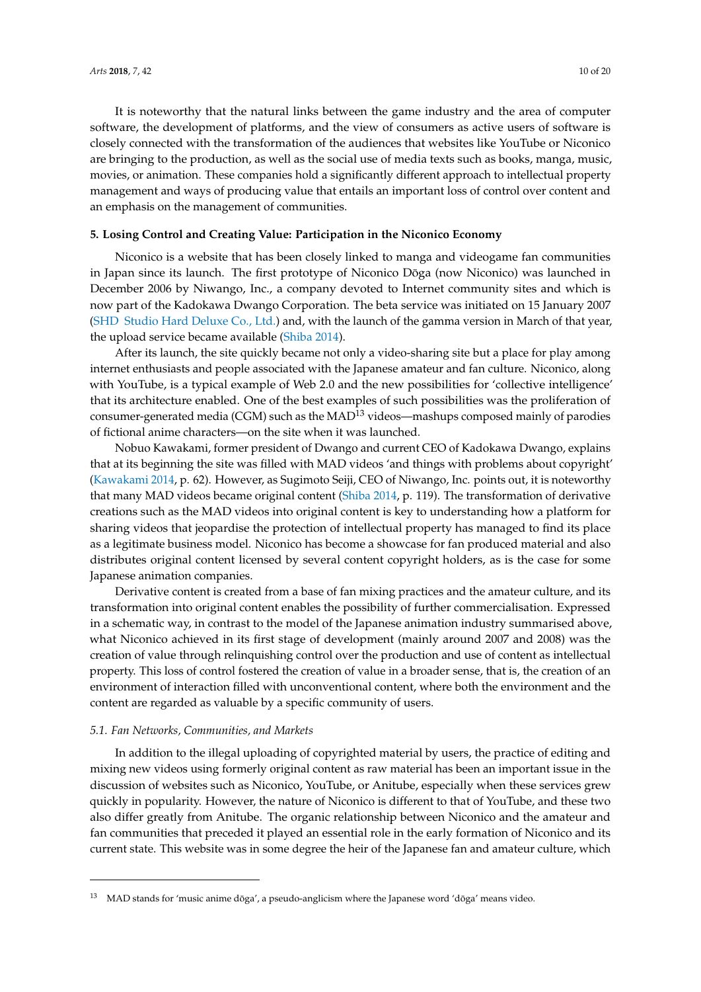It is noteworthy that the natural links between the game industry and the area of computer software, the development of platforms, and the view of consumers as active users of software is closely connected with the transformation of the audiences that websites like YouTube or Niconico are bringing to the production, as well as the social use of media texts such as books, manga, music, movies, or animation. These companies hold a significantly different approach to intellectual property management and ways of producing value that entails an important loss of control over content and an emphasis on the management of communities.

### **5. Losing Control and Creating Value: Participation in the Niconico Economy**

Niconico is a website that has been closely linked to manga and videogame fan communities in Japan since its launch. The first prototype of Niconico Doga (now Niconico) was launched in ¯ December 2006 by Niwango, Inc., a company devoted to Internet community sites and which is now part of the Kadokawa Dwango Corporation. The beta service was initiated on 15 January 2007 [\(SHD](#page-18-17) [Studio Hard Deluxe Co., Ltd.\)](#page-18-17) and, with the launch of the gamma version in March of that year, the upload service became available [\(Shiba](#page-18-18) [2014\)](#page-18-18).

After its launch, the site quickly became not only a video-sharing site but a place for play among internet enthusiasts and people associated with the Japanese amateur and fan culture. Niconico, along with YouTube, is a typical example of Web 2.0 and the new possibilities for 'collective intelligence' that its architecture enabled. One of the best examples of such possibilities was the proliferation of consumer-generated media (CGM) such as the MAD<sup>13</sup> videos—mashups composed mainly of parodies of fictional anime characters—on the site when it was launched.

Nobuo Kawakami, former president of Dwango and current CEO of Kadokawa Dwango, explains that at its beginning the site was filled with MAD videos 'and things with problems about copyright' [\(Kawakami](#page-17-15) [2014,](#page-17-15) p. 62). However, as Sugimoto Seiji, CEO of Niwango, Inc. points out, it is noteworthy that many MAD videos became original content [\(Shiba](#page-18-18) [2014,](#page-18-18) p. 119). The transformation of derivative creations such as the MAD videos into original content is key to understanding how a platform for sharing videos that jeopardise the protection of intellectual property has managed to find its place as a legitimate business model. Niconico has become a showcase for fan produced material and also distributes original content licensed by several content copyright holders, as is the case for some Japanese animation companies.

Derivative content is created from a base of fan mixing practices and the amateur culture, and its transformation into original content enables the possibility of further commercialisation. Expressed in a schematic way, in contrast to the model of the Japanese animation industry summarised above, what Niconico achieved in its first stage of development (mainly around 2007 and 2008) was the creation of value through relinquishing control over the production and use of content as intellectual property. This loss of control fostered the creation of value in a broader sense, that is, the creation of an environment of interaction filled with unconventional content, where both the environment and the content are regarded as valuable by a specific community of users.

### *5.1. Fan Networks, Communities, and Markets*

In addition to the illegal uploading of copyrighted material by users, the practice of editing and mixing new videos using formerly original content as raw material has been an important issue in the discussion of websites such as Niconico, YouTube, or Anitube, especially when these services grew quickly in popularity. However, the nature of Niconico is different to that of YouTube, and these two also differ greatly from Anitube. The organic relationship between Niconico and the amateur and fan communities that preceded it played an essential role in the early formation of Niconico and its current state. This website was in some degree the heir of the Japanese fan and amateur culture, which

 $13$  MAD stands for 'music anime dōga', a pseudo-anglicism where the Japanese word 'dōga' means video.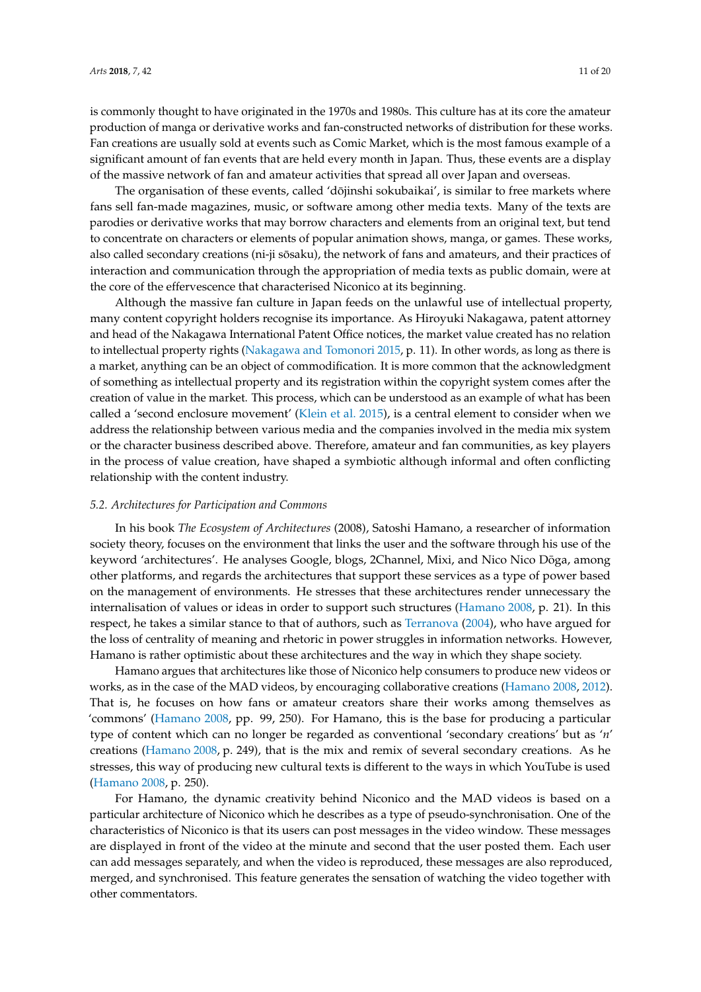is commonly thought to have originated in the 1970s and 1980s. This culture has at its core the amateur production of manga or derivative works and fan-constructed networks of distribution for these works. Fan creations are usually sold at events such as Comic Market, which is the most famous example of a significant amount of fan events that are held every month in Japan. Thus, these events are a display of the massive network of fan and amateur activities that spread all over Japan and overseas.

The organisation of these events, called 'dōjinshi sokubaikai', is similar to free markets where fans sell fan-made magazines, music, or software among other media texts. Many of the texts are parodies or derivative works that may borrow characters and elements from an original text, but tend to concentrate on characters or elements of popular animation shows, manga, or games. These works, also called secondary creations (ni-ji sōsaku), the network of fans and amateurs, and their practices of interaction and communication through the appropriation of media texts as public domain, were at the core of the effervescence that characterised Niconico at its beginning.

Although the massive fan culture in Japan feeds on the unlawful use of intellectual property, many content copyright holders recognise its importance. As Hiroyuki Nakagawa, patent attorney and head of the Nakagawa International Patent Office notices, the market value created has no relation to intellectual property rights [\(Nakagawa and Tomonori](#page-18-19) [2015,](#page-18-19) p. 11). In other words, as long as there is a market, anything can be an object of commodification. It is more common that the acknowledgment of something as intellectual property and its registration within the copyright system comes after the creation of value in the market. This process, which can be understood as an example of what has been called a 'second enclosure movement' [\(Klein et al.](#page-17-16) [2015\)](#page-17-16), is a central element to consider when we address the relationship between various media and the companies involved in the media mix system or the character business described above. Therefore, amateur and fan communities, as key players in the process of value creation, have shaped a symbiotic although informal and often conflicting relationship with the content industry.

#### *5.2. Architectures for Participation and Commons*

In his book *The Ecosystem of Architectures* (2008), Satoshi Hamano, a researcher of information society theory, focuses on the environment that links the user and the software through his use of the keyword 'architectures'. He analyses Google, blogs, 2Channel, Mixi, and Nico Nico Dōga, among other platforms, and regards the architectures that support these services as a type of power based on the management of environments. He stresses that these architectures render unnecessary the internalisation of values or ideas in order to support such structures [\(Hamano](#page-16-9) [2008,](#page-16-9) p. 21). In this respect, he takes a similar stance to that of authors, such as [Terranova](#page-19-1) [\(2004\)](#page-19-1), who have argued for the loss of centrality of meaning and rhetoric in power struggles in information networks. However, Hamano is rather optimistic about these architectures and the way in which they shape society.

Hamano argues that architectures like those of Niconico help consumers to produce new videos or works, as in the case of the MAD videos, by encouraging collaborative creations [\(Hamano](#page-16-9) [2008,](#page-16-9) [2012\)](#page-16-10). That is, he focuses on how fans or amateur creators share their works among themselves as 'commons' [\(Hamano](#page-16-9) [2008,](#page-16-9) pp. 99, 250). For Hamano, this is the base for producing a particular type of content which can no longer be regarded as conventional 'secondary creations' but as '*n*' creations [\(Hamano](#page-16-9) [2008,](#page-16-9) p. 249), that is the mix and remix of several secondary creations. As he stresses, this way of producing new cultural texts is different to the ways in which YouTube is used [\(Hamano](#page-16-9) [2008,](#page-16-9) p. 250).

For Hamano, the dynamic creativity behind Niconico and the MAD videos is based on a particular architecture of Niconico which he describes as a type of pseudo-synchronisation. One of the characteristics of Niconico is that its users can post messages in the video window. These messages are displayed in front of the video at the minute and second that the user posted them. Each user can add messages separately, and when the video is reproduced, these messages are also reproduced, merged, and synchronised. This feature generates the sensation of watching the video together with other commentators.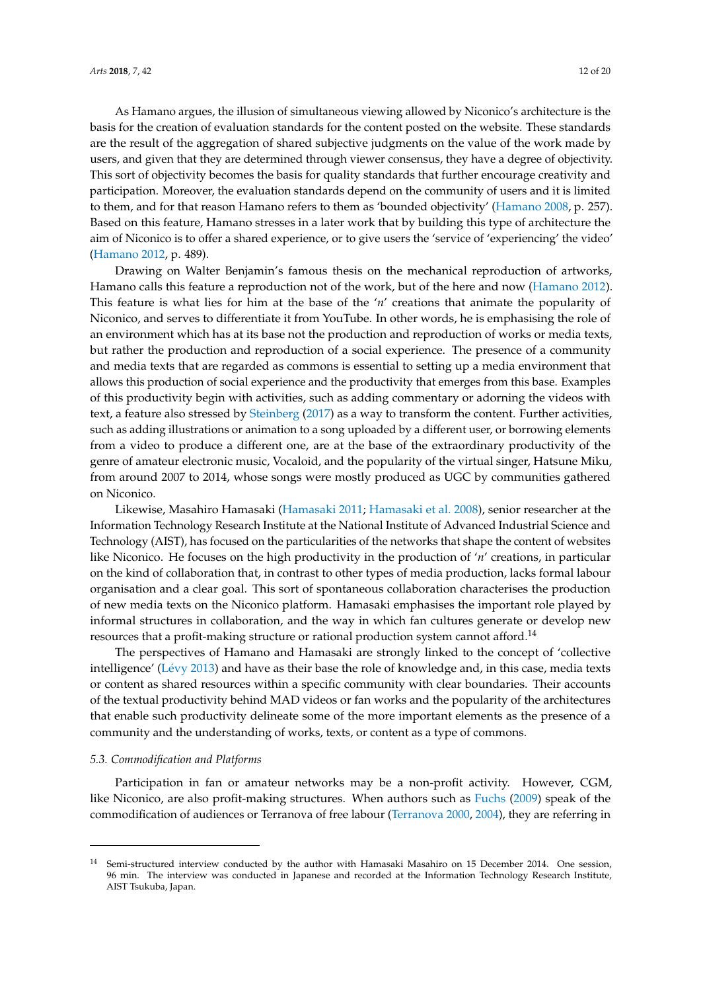As Hamano argues, the illusion of simultaneous viewing allowed by Niconico's architecture is the basis for the creation of evaluation standards for the content posted on the website. These standards are the result of the aggregation of shared subjective judgments on the value of the work made by users, and given that they are determined through viewer consensus, they have a degree of objectivity. This sort of objectivity becomes the basis for quality standards that further encourage creativity and participation. Moreover, the evaluation standards depend on the community of users and it is limited to them, and for that reason Hamano refers to them as 'bounded objectivity' [\(Hamano](#page-16-9) [2008,](#page-16-9) p. 257). Based on this feature, Hamano stresses in a later work that by building this type of architecture the aim of Niconico is to offer a shared experience, or to give users the 'service of 'experiencing' the video'

# [\(Hamano](#page-16-10) [2012,](#page-16-10) p. 489).

Drawing on Walter Benjamin's famous thesis on the mechanical reproduction of artworks, Hamano calls this feature a reproduction not of the work, but of the here and now [\(Hamano](#page-16-10) [2012\)](#page-16-10). This feature is what lies for him at the base of the '*n*' creations that animate the popularity of Niconico, and serves to differentiate it from YouTube. In other words, he is emphasising the role of an environment which has at its base not the production and reproduction of works or media texts, but rather the production and reproduction of a social experience. The presence of a community and media texts that are regarded as commons is essential to setting up a media environment that allows this production of social experience and the productivity that emerges from this base. Examples of this productivity begin with activities, such as adding commentary or adorning the videos with text, a feature also stressed by [Steinberg](#page-18-6) [\(2017\)](#page-18-6) as a way to transform the content. Further activities, such as adding illustrations or animation to a song uploaded by a different user, or borrowing elements from a video to produce a different one, are at the base of the extraordinary productivity of the genre of amateur electronic music, Vocaloid, and the popularity of the virtual singer, Hatsune Miku, from around 2007 to 2014, whose songs were mostly produced as UGC by communities gathered on Niconico.

Likewise, Masahiro Hamasaki [\(Hamasaki](#page-17-17) [2011;](#page-17-17) [Hamasaki et al.](#page-17-18) [2008\)](#page-17-18), senior researcher at the Information Technology Research Institute at the National Institute of Advanced Industrial Science and Technology (AIST), has focused on the particularities of the networks that shape the content of websites like Niconico. He focuses on the high productivity in the production of '*n*' creations, in particular on the kind of collaboration that, in contrast to other types of media production, lacks formal labour organisation and a clear goal. This sort of spontaneous collaboration characterises the production of new media texts on the Niconico platform. Hamasaki emphasises the important role played by informal structures in collaboration, and the way in which fan cultures generate or develop new resources that a profit-making structure or rational production system cannot afford.<sup>14</sup>

The perspectives of Hamano and Hamasaki are strongly linked to the concept of 'collective intelligence' (Lé[vy](#page-18-2) [2013\)](#page-18-2) and have as their base the role of knowledge and, in this case, media texts or content as shared resources within a specific community with clear boundaries. Their accounts of the textual productivity behind MAD videos or fan works and the popularity of the architectures that enable such productivity delineate some of the more important elements as the presence of a community and the understanding of works, texts, or content as a type of commons.

#### *5.3. Commodification and Platforms*

Participation in fan or amateur networks may be a non-profit activity. However, CGM, like Niconico, are also profit-making structures. When authors such as [Fuchs](#page-16-5) [\(2009\)](#page-16-5) speak of the commodification of audiences or Terranova of free labour [\(Terranova](#page-18-5) [2000,](#page-18-5) [2004\)](#page-19-1), they are referring in

<sup>&</sup>lt;sup>14</sup> Semi-structured interview conducted by the author with Hamasaki Masahiro on 15 December 2014. One session, 96 min. The interview was conducted in Japanese and recorded at the Information Technology Research Institute, AIST Tsukuba, Japan.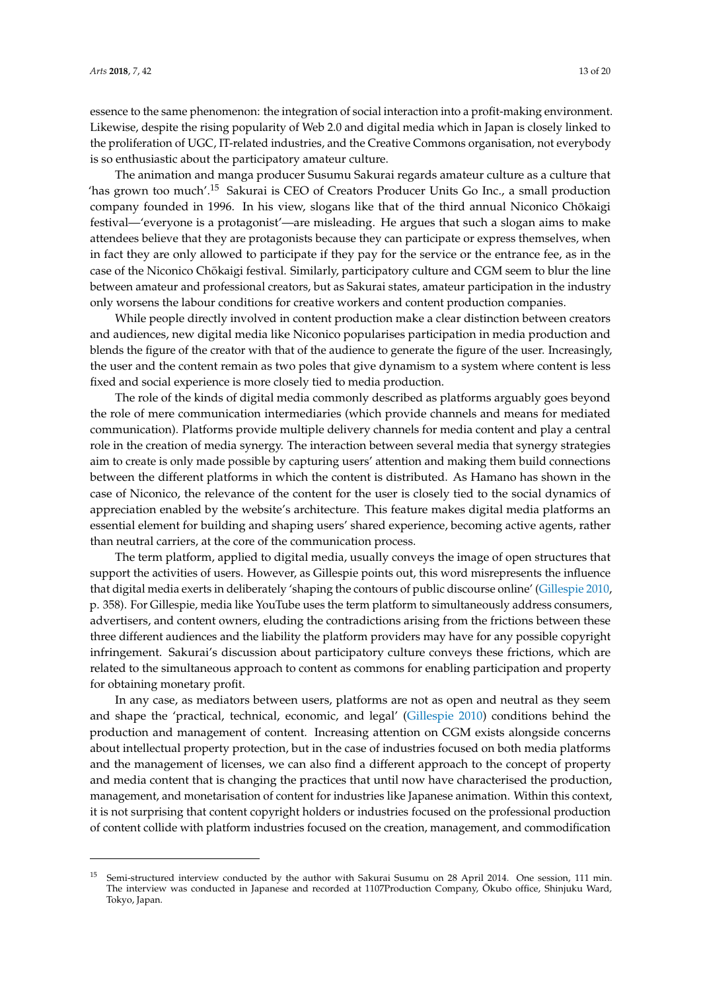essence to the same phenomenon: the integration of social interaction into a profit-making environment. Likewise, despite the rising popularity of Web 2.0 and digital media which in Japan is closely linked to the proliferation of UGC, IT-related industries, and the Creative Commons organisation, not everybody is so enthusiastic about the participatory amateur culture.

The animation and manga producer Susumu Sakurai regards amateur culture as a culture that 'has grown too much'.<sup>15</sup> Sakurai is CEO of Creators Producer Units Go Inc., a small production company founded in 1996. In his view, slogans like that of the third annual Niconico Chōkaigi festival—'everyone is a protagonist'—are misleading. He argues that such a slogan aims to make attendees believe that they are protagonists because they can participate or express themselves, when in fact they are only allowed to participate if they pay for the service or the entrance fee, as in the case of the Niconico Chōkaigi festival. Similarly, participatory culture and CGM seem to blur the line between amateur and professional creators, but as Sakurai states, amateur participation in the industry only worsens the labour conditions for creative workers and content production companies.

While people directly involved in content production make a clear distinction between creators and audiences, new digital media like Niconico popularises participation in media production and blends the figure of the creator with that of the audience to generate the figure of the user. Increasingly, the user and the content remain as two poles that give dynamism to a system where content is less fixed and social experience is more closely tied to media production.

The role of the kinds of digital media commonly described as platforms arguably goes beyond the role of mere communication intermediaries (which provide channels and means for mediated communication). Platforms provide multiple delivery channels for media content and play a central role in the creation of media synergy. The interaction between several media that synergy strategies aim to create is only made possible by capturing users' attention and making them build connections between the different platforms in which the content is distributed. As Hamano has shown in the case of Niconico, the relevance of the content for the user is closely tied to the social dynamics of appreciation enabled by the website's architecture. This feature makes digital media platforms an essential element for building and shaping users' shared experience, becoming active agents, rather than neutral carriers, at the core of the communication process.

The term platform, applied to digital media, usually conveys the image of open structures that support the activities of users. However, as Gillespie points out, this word misrepresents the influence that digital media exerts in deliberately 'shaping the contours of public discourse online' [\(Gillespie](#page-16-2) [2010,](#page-16-2) p. 358). For Gillespie, media like YouTube uses the term platform to simultaneously address consumers, advertisers, and content owners, eluding the contradictions arising from the frictions between these three different audiences and the liability the platform providers may have for any possible copyright infringement. Sakurai's discussion about participatory culture conveys these frictions, which are related to the simultaneous approach to content as commons for enabling participation and property for obtaining monetary profit.

In any case, as mediators between users, platforms are not as open and neutral as they seem and shape the 'practical, technical, economic, and legal' [\(Gillespie](#page-16-2) [2010\)](#page-16-2) conditions behind the production and management of content. Increasing attention on CGM exists alongside concerns about intellectual property protection, but in the case of industries focused on both media platforms and the management of licenses, we can also find a different approach to the concept of property and media content that is changing the practices that until now have characterised the production, management, and monetarisation of content for industries like Japanese animation. Within this context, it is not surprising that content copyright holders or industries focused on the professional production of content collide with platform industries focused on the creation, management, and commodification

<sup>15</sup> Semi-structured interview conducted by the author with Sakurai Susumu on 28 April 2014. One session, 111 min. The interview was conducted in Japanese and recorded at 1107Production Company, Ōkubo office, Shinjuku Ward, Tokyo, Japan.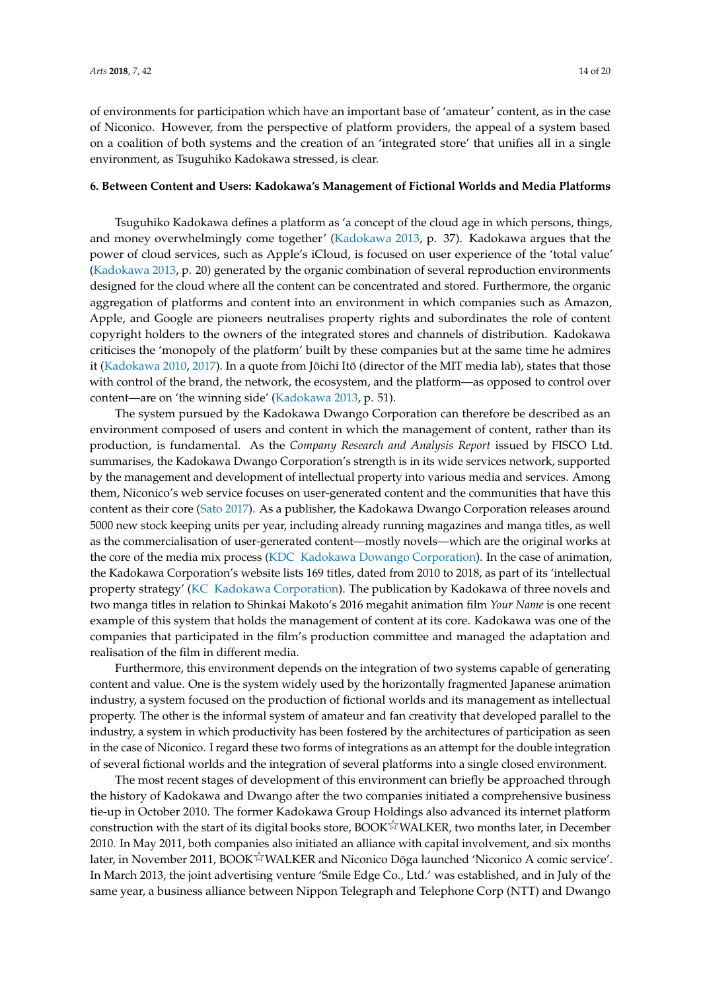of environments for participation which have an important base of 'amateur' content, as in the case of Niconico. However, from the perspective of platform providers, the appeal of a system based on a coalition of both systems and the creation of an 'integrated store' that unifies all in a single environment, as Tsuguhiko Kadokawa stressed, is clear.

## **6. Between Content and Users: Kadokawa's Management of Fictional Worlds and Media Platforms**

Tsuguhiko Kadokawa defines a platform as 'a concept of the cloud age in which persons, things, and money overwhelmingly come together' [\(Kadokawa](#page-17-8) [2013,](#page-17-8) p. 37). Kadokawa argues that the power of cloud services, such as Apple's iCloud, is focused on user experience of the 'total value' [\(Kadokawa](#page-17-8) [2013,](#page-17-8) p. 20) generated by the organic combination of several reproduction environments designed for the cloud where all the content can be concentrated and stored. Furthermore, the organic aggregation of platforms and content into an environment in which companies such as Amazon, Apple, and Google are pioneers neutralises property rights and subordinates the role of content copyright holders to the owners of the integrated stores and channels of distribution. Kadokawa criticises the 'monopoly of the platform' built by these companies but at the same time he admires it [\(Kadokawa](#page-17-9) [2010,](#page-17-9) [2017\)](#page-17-10). In a quote from Jōichi Itō (director of the MIT media lab), states that those with control of the brand, the network, the ecosystem, and the platform—as opposed to control over content—are on 'the winning side' [\(Kadokawa](#page-17-8) [2013,](#page-17-8) p. 51).

The system pursued by the Kadokawa Dwango Corporation can therefore be described as an environment composed of users and content in which the management of content, rather than its production, is fundamental. As the *Company Research and Analysis Report* issued by FISCO Ltd. summarises, the Kadokawa Dwango Corporation's strength is in its wide services network, supported by the management and development of intellectual property into various media and services. Among them, Niconico's web service focuses on user-generated content and the communities that have this content as their core [\(Sato](#page-18-20) [2017\)](#page-18-20). As a publisher, the Kadokawa Dwango Corporation releases around 5000 new stock keeping units per year, including already running magazines and manga titles, as well as the commercialisation of user-generated content—mostly novels—which are the original works at the core of the media mix process [\(KDC](#page-17-19) [Kadokawa Dowango Corporation\)](#page-17-19). In the case of animation, the Kadokawa Corporation's website lists 169 titles, dated from 2010 to 2018, as part of its 'intellectual property strategy' [\(KC](#page-17-20) [Kadokawa Corporation\)](#page-17-20). The publication by Kadokawa of three novels and two manga titles in relation to Shinkai Makoto's 2016 megahit animation film *Your Name* is one recent example of this system that holds the management of content at its core. Kadokawa was one of the companies that participated in the film's production committee and managed the adaptation and realisation of the film in different media.

Furthermore, this environment depends on the integration of two systems capable of generating content and value. One is the system widely used by the horizontally fragmented Japanese animation industry, a system focused on the production of fictional worlds and its management as intellectual property. The other is the informal system of amateur and fan creativity that developed parallel to the industry, a system in which productivity has been fostered by the architectures of participation as seen in the case of Niconico. I regard these two forms of integrations as an attempt for the double integration of several fictional worlds and the integration of several platforms into a single closed environment.

The most recent stages of development of this environment can briefly be approached through the history of Kadokawa and Dwango after the two companies initiated a comprehensive business tie-up in October 2010. The former Kadokawa Group Holdings also advanced its internet platform construction with the start of its digital books store,  $\text{BOOK}^{\times}$ WALKER, two months later, in December 2010. In May 2011, both companies also initiated an alliance with capital involvement, and six months later, in November 2011, BOOK $\mathbb{X}$ WALKER and Niconico Dōga launched 'Niconico A comic service'. In March 2013, the joint advertising venture 'Smile Edge Co., Ltd.' was established, and in July of the same year, a business alliance between Nippon Telegraph and Telephone Corp (NTT) and Dwango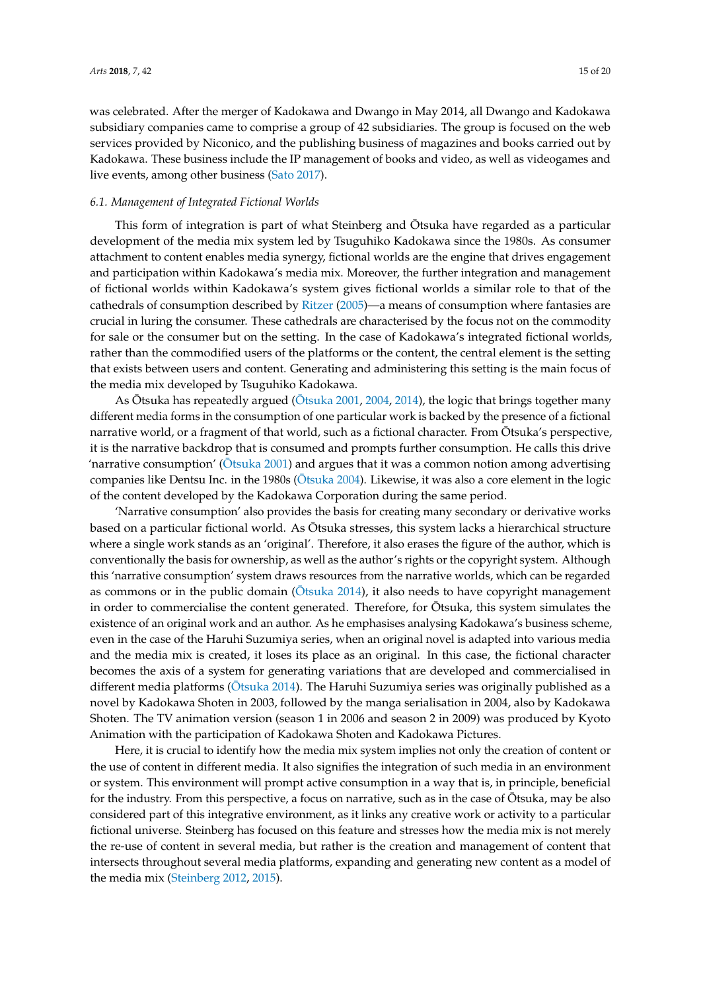was celebrated. After the merger of Kadokawa and Dwango in May 2014, all Dwango and Kadokawa subsidiary companies came to comprise a group of 42 subsidiaries. The group is focused on the web services provided by Niconico, and the publishing business of magazines and books carried out by Kadokawa. These business include the IP management of books and video, as well as videogames and live events, among other business [\(Sato](#page-18-20) [2017\)](#page-18-20).

#### *6.1. Management of Integrated Fictional Worlds*

This form of integration is part of what Steinberg and Otsuka have regarded as a particular development of the media mix system led by Tsuguhiko Kadokawa since the 1980s. As consumer attachment to content enables media synergy, fictional worlds are the engine that drives engagement and participation within Kadokawa's media mix. Moreover, the further integration and management of fictional worlds within Kadokawa's system gives fictional worlds a similar role to that of the cathedrals of consumption described by [Ritzer](#page-18-21) [\(2005\)](#page-18-21)—a means of consumption where fantasies are crucial in luring the consumer. These cathedrals are characterised by the focus not on the commodity for sale or the consumer but on the setting. In the case of Kadokawa's integrated fictional worlds, rather than the commodified users of the platforms or the content, the central element is the setting that exists between users and content. Generating and administering this setting is the main focus of the media mix developed by Tsuguhiko Kadokawa.

As Ōtsuka has repeatedly argued (Ōtsuka [2001,](#page-18-22) [2004,](#page-18-23) [2014\)](#page-18-24), the logic that brings together many different media forms in the consumption of one particular work is backed by the presence of a fictional narrative world, or a fragment of that world, such as a fictional character. From Otsuka's perspective, it is the narrative backdrop that is consumed and prompts further consumption. He calls this drive 'narrative consumption' [\(Otsuka](#page-18-22)  $2001$ ) and argues that it was a common notion among advertising companies like Dentsu Inc. in the 1980s [\(Otsuka](#page-18-23) [2004\)](#page-18-23). Likewise, it was also a core element in the logic of the content developed by the Kadokawa Corporation during the same period.

'Narrative consumption' also provides the basis for creating many secondary or derivative works based on a particular fictional world. As Otsuka stresses, this system lacks a hierarchical structure ¯ where a single work stands as an 'original'. Therefore, it also erases the figure of the author, which is conventionally the basis for ownership, as well as the author's rights or the copyright system. Although this 'narrative consumption' system draws resources from the narrative worlds, which can be regarded as commons or in the public domain [\(Otsuka](#page-18-24) [2014\)](#page-18-24), it also needs to have copyright management in order to commercialise the content generated. Therefore, for Otsuka, this system simulates the existence of an original work and an author. As he emphasises analysing Kadokawa's business scheme, even in the case of the Haruhi Suzumiya series, when an original novel is adapted into various media and the media mix is created, it loses its place as an original. In this case, the fictional character becomes the axis of a system for generating variations that are developed and commercialised in different media platforms (Ōtsuka [2014\)](#page-18-24). The Haruhi Suzumiya series was originally published as a novel by Kadokawa Shoten in 2003, followed by the manga serialisation in 2004, also by Kadokawa Shoten. The TV animation version (season 1 in 2006 and season 2 in 2009) was produced by Kyoto Animation with the participation of Kadokawa Shoten and Kadokawa Pictures.

Here, it is crucial to identify how the media mix system implies not only the creation of content or the use of content in different media. It also signifies the integration of such media in an environment or system. This environment will prompt active consumption in a way that is, in principle, beneficial for the industry. From this perspective, a focus on narrative, such as in the case of Otsuka, may be also considered part of this integrative environment, as it links any creative work or activity to a particular fictional universe. Steinberg has focused on this feature and stresses how the media mix is not merely the re-use of content in several media, but rather is the creation and management of content that intersects throughout several media platforms, expanding and generating new content as a model of the media mix [\(Steinberg](#page-18-7) [2012,](#page-18-7) [2015\)](#page-18-8).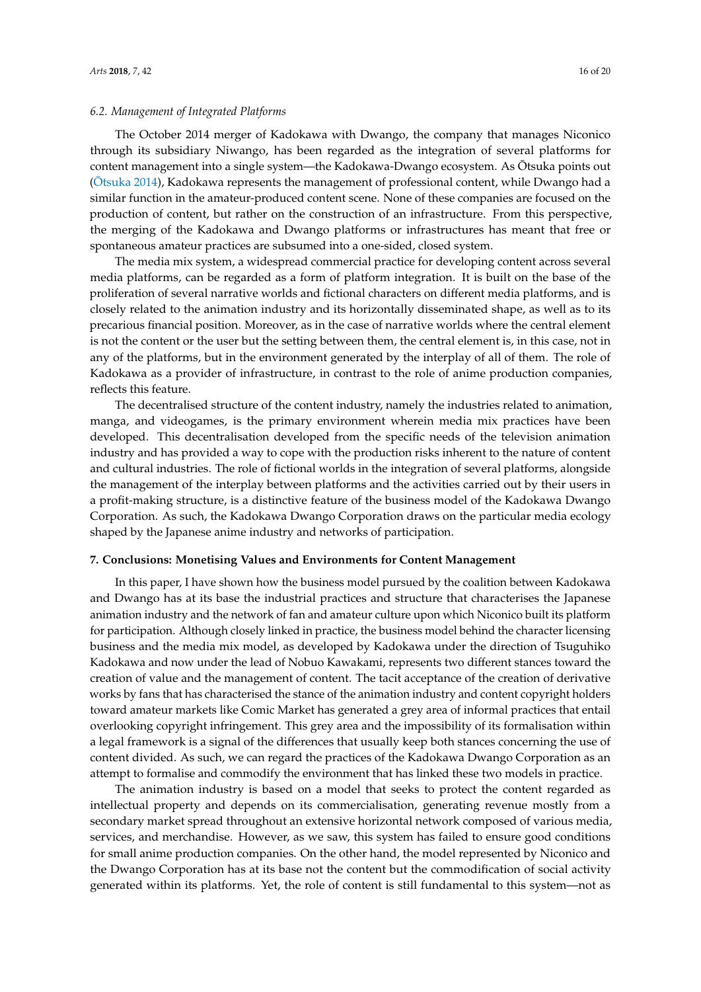### *6.2. Management of Integrated Platforms*

The October 2014 merger of Kadokawa with Dwango, the company that manages Niconico through its subsidiary Niwango, has been regarded as the integration of several platforms for content management into a single system—the Kadokawa-Dwango ecosystem. As Otsuka points out ¯ [\(Otsuka](#page-18-24) [2014\)](#page-18-24), Kadokawa represents the management of professional content, while Dwango had a similar function in the amateur-produced content scene. None of these companies are focused on the production of content, but rather on the construction of an infrastructure. From this perspective, the merging of the Kadokawa and Dwango platforms or infrastructures has meant that free or spontaneous amateur practices are subsumed into a one-sided, closed system.

The media mix system, a widespread commercial practice for developing content across several media platforms, can be regarded as a form of platform integration. It is built on the base of the proliferation of several narrative worlds and fictional characters on different media platforms, and is closely related to the animation industry and its horizontally disseminated shape, as well as to its precarious financial position. Moreover, as in the case of narrative worlds where the central element is not the content or the user but the setting between them, the central element is, in this case, not in any of the platforms, but in the environment generated by the interplay of all of them. The role of Kadokawa as a provider of infrastructure, in contrast to the role of anime production companies, reflects this feature.

The decentralised structure of the content industry, namely the industries related to animation, manga, and videogames, is the primary environment wherein media mix practices have been developed. This decentralisation developed from the specific needs of the television animation industry and has provided a way to cope with the production risks inherent to the nature of content and cultural industries. The role of fictional worlds in the integration of several platforms, alongside the management of the interplay between platforms and the activities carried out by their users in a profit-making structure, is a distinctive feature of the business model of the Kadokawa Dwango Corporation. As such, the Kadokawa Dwango Corporation draws on the particular media ecology shaped by the Japanese anime industry and networks of participation.

#### **7. Conclusions: Monetising Values and Environments for Content Management**

In this paper, I have shown how the business model pursued by the coalition between Kadokawa and Dwango has at its base the industrial practices and structure that characterises the Japanese animation industry and the network of fan and amateur culture upon which Niconico built its platform for participation. Although closely linked in practice, the business model behind the character licensing business and the media mix model, as developed by Kadokawa under the direction of Tsuguhiko Kadokawa and now under the lead of Nobuo Kawakami, represents two different stances toward the creation of value and the management of content. The tacit acceptance of the creation of derivative works by fans that has characterised the stance of the animation industry and content copyright holders toward amateur markets like Comic Market has generated a grey area of informal practices that entail overlooking copyright infringement. This grey area and the impossibility of its formalisation within a legal framework is a signal of the differences that usually keep both stances concerning the use of content divided. As such, we can regard the practices of the Kadokawa Dwango Corporation as an attempt to formalise and commodify the environment that has linked these two models in practice.

The animation industry is based on a model that seeks to protect the content regarded as intellectual property and depends on its commercialisation, generating revenue mostly from a secondary market spread throughout an extensive horizontal network composed of various media, services, and merchandise. However, as we saw, this system has failed to ensure good conditions for small anime production companies. On the other hand, the model represented by Niconico and the Dwango Corporation has at its base not the content but the commodification of social activity generated within its platforms. Yet, the role of content is still fundamental to this system—not as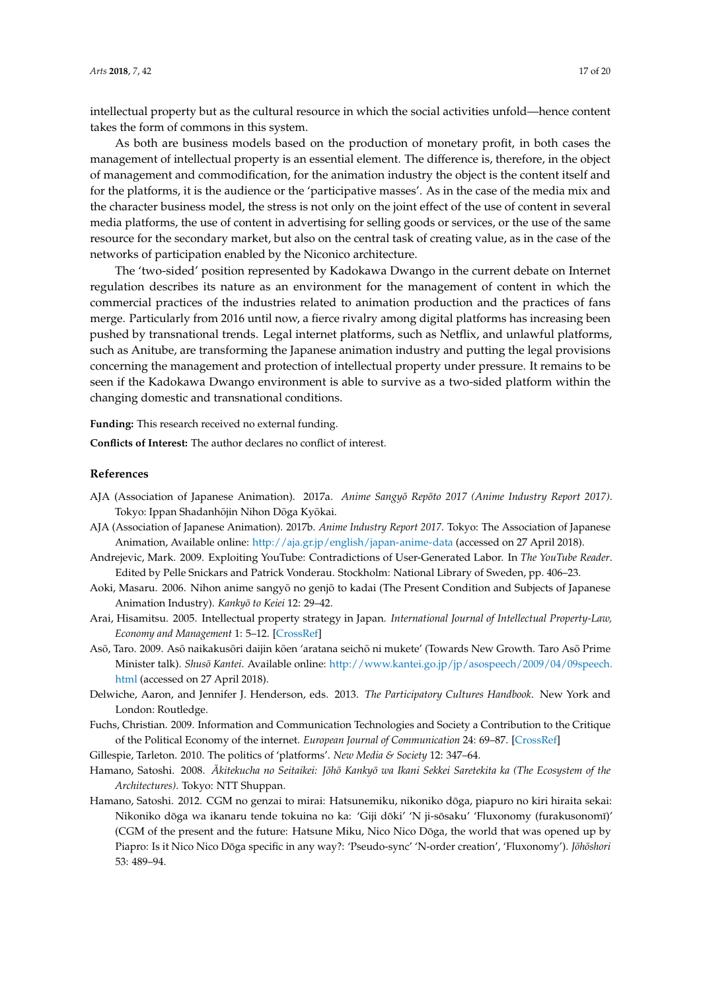intellectual property but as the cultural resource in which the social activities unfold—hence content takes the form of commons in this system.

As both are business models based on the production of monetary profit, in both cases the management of intellectual property is an essential element. The difference is, therefore, in the object of management and commodification, for the animation industry the object is the content itself and for the platforms, it is the audience or the 'participative masses'. As in the case of the media mix and the character business model, the stress is not only on the joint effect of the use of content in several media platforms, the use of content in advertising for selling goods or services, or the use of the same resource for the secondary market, but also on the central task of creating value, as in the case of the networks of participation enabled by the Niconico architecture.

The 'two-sided' position represented by Kadokawa Dwango in the current debate on Internet regulation describes its nature as an environment for the management of content in which the commercial practices of the industries related to animation production and the practices of fans merge. Particularly from 2016 until now, a fierce rivalry among digital platforms has increasing been pushed by transnational trends. Legal internet platforms, such as Netflix, and unlawful platforms, such as Anitube, are transforming the Japanese animation industry and putting the legal provisions concerning the management and protection of intellectual property under pressure. It remains to be seen if the Kadokawa Dwango environment is able to survive as a two-sided platform within the changing domestic and transnational conditions.

**Funding:** This research received no external funding.

**Conflicts of Interest:** The author declares no conflict of interest.

### **References**

- <span id="page-16-0"></span>AJA (Association of Japanese Animation). 2017a. *Anime Sangyō Repoto 2017 (Anime Industry Report 2017)*. Tokyo: Ippan Shadanhōjin Nihon Dōga Kyōkai.
- <span id="page-16-1"></span>AJA (Association of Japanese Animation). 2017b. *Anime Industry Report 2017*. Tokyo: The Association of Japanese Animation, Available online: <http://aja.gr.jp/english/japan-anime-data> (accessed on 27 April 2018).
- <span id="page-16-4"></span>Andrejevic, Mark. 2009. Exploiting YouTube: Contradictions of User-Generated Labor. In *The YouTube Reader*. Edited by Pelle Snickars and Patrick Vonderau. Stockholm: National Library of Sweden, pp. 406–23.
- <span id="page-16-8"></span>Aoki, Masaru. 2006. Nihon anime sangyō no genjō to kadai (The Present Condition and Subjects of Japanese Animation Industry). *Kankyō to Keiei* 12: 29-42.
- <span id="page-16-6"></span>Arai, Hisamitsu. 2005. Intellectual property strategy in Japan. *International Journal of Intellectual Property-Law, Economy and Management* 1: 5–12. [\[CrossRef\]](http://dx.doi.org/10.2321/ijip.1.5)
- <span id="page-16-7"></span>Asō, Taro. 2009. Asō naikakusōri daijin kōen 'aratana seichō ni mukete' (Towards New Growth. Taro Asō Prime Minister talk). *Shuso Kantei ¯* . Available online: [http://www.kantei.go.jp/jp/asospeech/2009/04/09speech.](http://www.kantei.go.jp/jp/asospeech/2009/04/09speech.html) [html](http://www.kantei.go.jp/jp/asospeech/2009/04/09speech.html) (accessed on 27 April 2018).
- <span id="page-16-3"></span>Delwiche, Aaron, and Jennifer J. Henderson, eds. 2013. *The Participatory Cultures Handbook*. New York and London: Routledge.
- <span id="page-16-5"></span>Fuchs, Christian. 2009. Information and Communication Technologies and Society a Contribution to the Critique of the Political Economy of the internet. *European Journal of Communication* 24: 69–87. [\[CrossRef\]](http://dx.doi.org/10.1177/0267323108098947)
- <span id="page-16-9"></span><span id="page-16-2"></span>Gillespie, Tarleton. 2010. The politics of 'platforms'. *New Media & Society* 12: 347–64.
- Hamano, Satoshi. 2008. Akitekucha no Seitaikei: Jōhō Kankyō wa Ikani Sekkei Saretekita ka (The Ecosystem of the *Architectures)*. Tokyo: NTT Shuppan.
- <span id="page-16-10"></span>Hamano, Satoshi. 2012. CGM no genzai to mirai: Hatsunemiku, nikoniko dōga, piapuro no kiri hiraita sekai: Nikoniko dōga wa ikanaru tende tokuina no ka: 'Giji dōki' 'N ji-sōsaku' 'Fluxonomy (furakusonomī)' (CGM of the present and the future: Hatsune Miku, Nico Nico Dōga, the world that was opened up by Piapro: Is it Nico Nico Dōga specific in any way?: 'Pseudo-sync' 'N-order creation', 'Fluxonomy'). *Johoshori* 53: 489–94.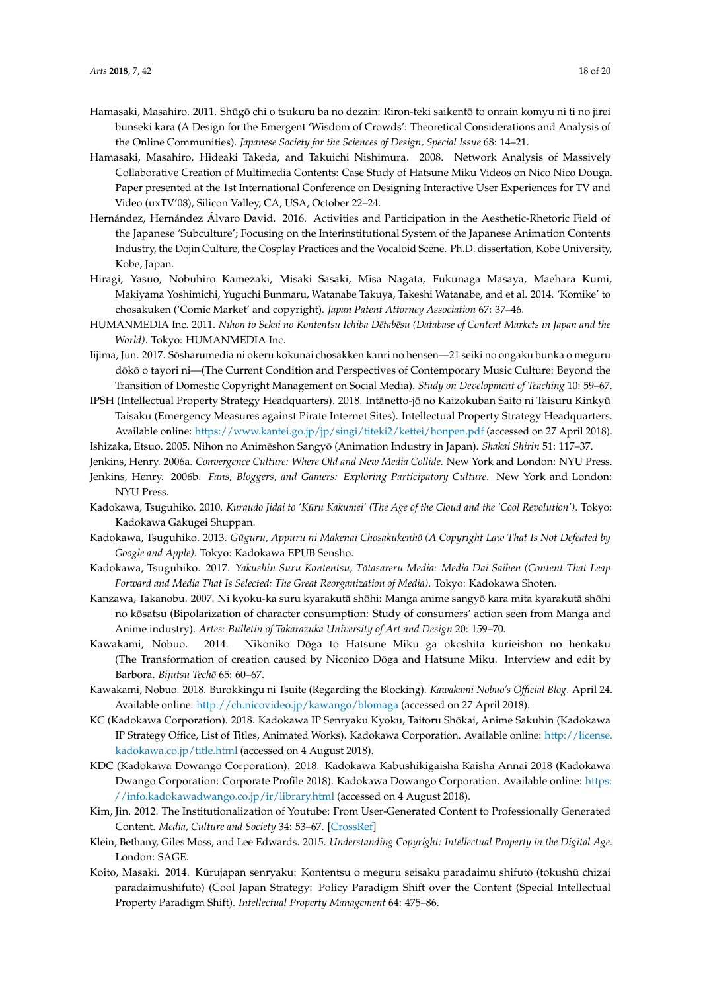- <span id="page-17-17"></span>Hamasaki, Masahiro. 2011. Shūgō chi o tsukuru ba no dezain: Riron-teki saikentō to onrain komyu ni ti no jirei bunseki kara (A Design for the Emergent 'Wisdom of Crowds': Theoretical Considerations and Analysis of the Online Communities). *Japanese Society for the Sciences of Design, Special Issue* 68: 14–21.
- <span id="page-17-18"></span>Hamasaki, Masahiro, Hideaki Takeda, and Takuichi Nishimura. 2008. Network Analysis of Massively Collaborative Creation of Multimedia Contents: Case Study of Hatsune Miku Videos on Nico Nico Douga. Paper presented at the 1st International Conference on Designing Interactive User Experiences for TV and Video (uxTV'08), Silicon Valley, CA, USA, October 22–24.
- <span id="page-17-3"></span>Hernández, Hernández Álvaro David. 2016. Activities and Participation in the Aesthetic-Rhetoric Field of the Japanese 'Subculture'; Focusing on the Interinstitutional System of the Japanese Animation Contents Industry, the Dojin Culture, the Cosplay Practices and the Vocaloid Scene. Ph.D. dissertation, Kobe University, Kobe, Japan.
- <span id="page-17-7"></span>Hiragi, Yasuo, Nobuhiro Kamezaki, Misaki Sasaki, Misa Nagata, Fukunaga Masaya, Maehara Kumi, Makiyama Yoshimichi, Yuguchi Bunmaru, Watanabe Takuya, Takeshi Watanabe, and et al. 2014. 'Komike' to chosakuken ('Comic Market' and copyright). *Japan Patent Attorney Association* 67: 37–46.
- <span id="page-17-14"></span>HUMANMEDIA Inc. 2011. *Nihon to Sekai no Kontentsu Ichiba Dētabēsu* (Database of Content Markets in Japan and the *World)*. Tokyo: HUMANMEDIA Inc.
- <span id="page-17-2"></span>Iijima, Jun. 2017. Sosharumedia ni okeru kokunai chosakken kanri no hensen—21 seiki no ongaku bunka o meguru ¯ dōkō o tayori ni—(The Current Condition and Perspectives of Contemporary Music Culture: Beyond the Transition of Domestic Copyright Management on Social Media). *Study on Development of Teaching* 10: 59–67.
- <span id="page-17-0"></span>IPSH (Intellectual Property Strategy Headquarters). 2018. Intānetto-jō no Kaizokuban Saito ni Taisuru Kinkyū Taisaku (Emergency Measures against Pirate Internet Sites). Intellectual Property Strategy Headquarters. Available online: <https://www.kantei.go.jp/jp/singi/titeki2/kettei/honpen.pdf> (accessed on 27 April 2018).
- <span id="page-17-12"></span>Ishizaka, Etsuo. 2005. Nihon no Animeshon Sangyō (Animation Industry in Japan). *Shakai Shirin* 51: 117–37.
- <span id="page-17-5"></span>Jenkins, Henry. 2006a. *Convergence Culture: Where Old and New Media Collide*. New York and London: NYU Press.
- <span id="page-17-6"></span>Jenkins, Henry. 2006b. *Fans, Bloggers, and Gamers: Exploring Participatory Culture*. New York and London: NYU Press.
- <span id="page-17-9"></span>Kadokawa, Tsuguhiko. 2010. *Kuraudo Jidai to 'Kūru Kakumei' (The Age of the Cloud and the 'Cool Revolution')*. Tokyo: Kadokawa Gakugei Shuppan.
- <span id="page-17-8"></span>Kadokawa, Tsuguhiko. 2013. *Gūguru, Appuru ni Makenai Chosakukenhō (A Copyright Law That Is Not Defeated by Google and Apple)*. Tokyo: Kadokawa EPUB Sensho.
- <span id="page-17-10"></span>Kadokawa, Tsuguhiko. 2017. *Yakushin Suru Kontentsu, Totasareru Media: Media Dai Saihen (Content That Leap ¯ Forward and Media That Is Selected: The Great Reorganization of Media)*. Tokyo: Kadokawa Shoten.
- <span id="page-17-11"></span>Kanzawa, Takanobu. 2007. Ni kyoku-ka suru kyarakutā shōhi: Manga anime sangyō kara mita kyarakutā shōhi no kōsatsu (Bipolarization of character consumption: Study of consumers' action seen from Manga and Anime industry). *Artes: Bulletin of Takarazuka University of Art and Design* 20: 159–70.
- <span id="page-17-15"></span>Kawakami, Nobuo. 2014. Nikoniko Dōga to Hatsune Miku ga okoshita kurieishon no henkaku (The Transformation of creation caused by Niconico Dōga and Hatsune Miku. Interview and edit by Barbora. *Bijutsu Techō* 65: 60-67.
- <span id="page-17-1"></span>Kawakami, Nobuo. 2018. Burokkingu ni Tsuite (Regarding the Blocking). *Kawakami Nobuo's Official Blog*. April 24. Available online: <http://ch.nicovideo.jp/kawango/blomaga> (accessed on 27 April 2018).
- <span id="page-17-20"></span>KC (Kadokawa Corporation). 2018. Kadokawa IP Senryaku Kyoku, Taitoru Shokai, Anime Sakuhin (Kadokawa ¯ IP Strategy Office, List of Titles, Animated Works). Kadokawa Corporation. Available online: [http://license.](http://license.kadokawa.co.jp/title.html) [kadokawa.co.jp/title.html](http://license.kadokawa.co.jp/title.html) (accessed on 4 August 2018).
- <span id="page-17-19"></span>KDC (Kadokawa Dowango Corporation). 2018. Kadokawa Kabushikigaisha Kaisha Annai 2018 (Kadokawa Dwango Corporation: Corporate Profile 2018). Kadokawa Dowango Corporation. Available online: [https:](https://info.kadokawadwango.co.jp/ir/library.html) [//info.kadokawadwango.co.jp/ir/library.html](https://info.kadokawadwango.co.jp/ir/library.html) (accessed on 4 August 2018).
- <span id="page-17-4"></span>Kim, Jin. 2012. The Institutionalization of Youtube: From User-Generated Content to Professionally Generated Content. *Media, Culture and Society* 34: 53–67. [\[CrossRef\]](http://dx.doi.org/10.1177/0163443711427199)
- <span id="page-17-16"></span>Klein, Bethany, Giles Moss, and Lee Edwards. 2015. *Understanding Copyright: Intellectual Property in the Digital Age*. London: SAGE.
- <span id="page-17-13"></span>Koito, Masaki. 2014. Kūrujapan senryaku: Kontentsu o meguru seisaku paradaimu shifuto (tokushū chizai paradaimushifuto) (Cool Japan Strategy: Policy Paradigm Shift over the Content (Special Intellectual Property Paradigm Shift). *Intellectual Property Management* 64: 475–86.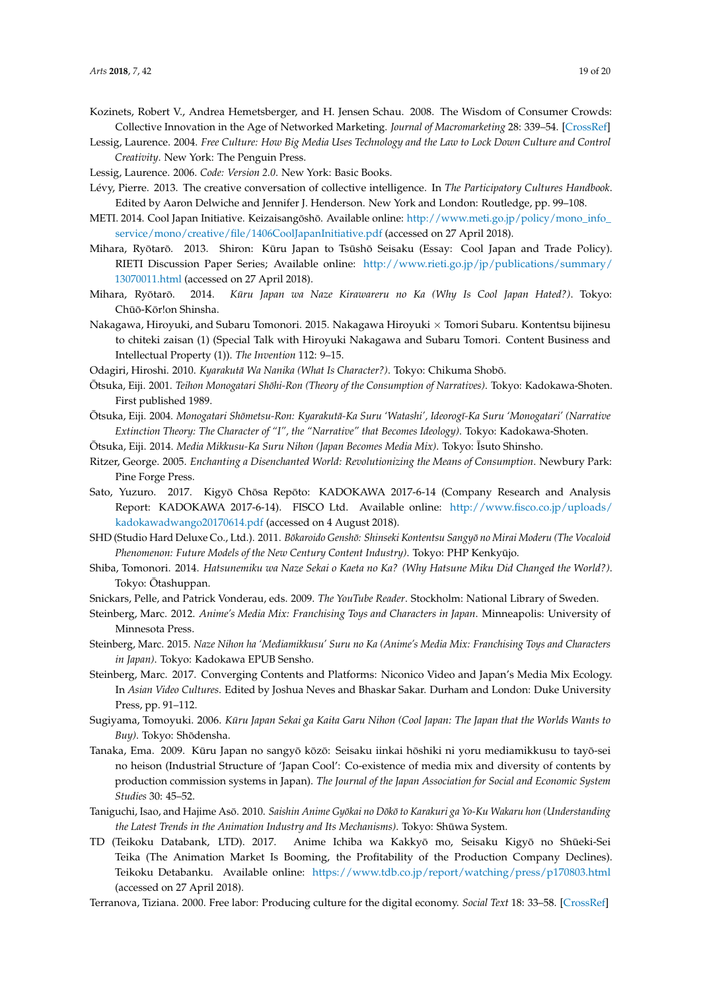- <span id="page-18-0"></span>Kozinets, Robert V., Andrea Hemetsberger, and H. Jensen Schau. 2008. The Wisdom of Consumer Crowds: Collective Innovation in the Age of Networked Marketing. *Journal of Macromarketing* 28: 339–54. [\[CrossRef\]](http://dx.doi.org/10.1177/0276146708325382)
- <span id="page-18-3"></span>Lessig, Laurence. 2004. *Free Culture: How Big Media Uses Technology and the Law to Lock Down Culture and Control Creativity*. New York: The Penguin Press.
- <span id="page-18-4"></span>Lessig, Laurence. 2006. *Code: Version 2.0*. New York: Basic Books.
- <span id="page-18-2"></span>Lévy, Pierre. 2013. The creative conversation of collective intelligence. In *The Participatory Cultures Handbook*. Edited by Aaron Delwiche and Jennifer J. Henderson. New York and London: Routledge, pp. 99–108.
- <span id="page-18-12"></span>METI. 2014. Cool Japan Initiative. Keizaisangōshō. Available online: [http://www.meti.go.jp/policy/mono\\_info\\_](http://www.meti.go.jp/policy/mono_info_service/mono/creative/file/1406CoolJapanInitiative.pdf) [service/mono/creative/file/1406CoolJapanInitiative.pdf](http://www.meti.go.jp/policy/mono_info_service/mono/creative/file/1406CoolJapanInitiative.pdf) (accessed on 27 April 2018).
- <span id="page-18-10"></span>Mihara, Ryōtarō. 2013. Shiron: Kūru Japan to Tsūshō Seisaku (Essay: Cool Japan and Trade Policy). RIETI Discussion Paper Series; Available online: [http://www.rieti.go.jp/jp/publications/summary/](http://www.rieti.go.jp/jp/publications/summary/13070011.html) [13070011.html](http://www.rieti.go.jp/jp/publications/summary/13070011.html) (accessed on 27 April 2018).
- <span id="page-18-11"></span>Mihara, Ryōtarō. 2014. Kūru Japan wa Naze Kirawareru no Ka (Why Is Cool Japan Hated?). Tokyo: Chūō-Kōr!on Shinsha.
- <span id="page-18-19"></span>Nakagawa, Hiroyuki, and Subaru Tomonori. 2015. Nakagawa Hiroyuki × Tomori Subaru. Kontentsu bijinesu to chiteki zaisan (1) (Special Talk with Hiroyuki Nakagawa and Subaru Tomori. Content Business and Intellectual Property (1)). *The Invention* 112: 9–15.
- <span id="page-18-22"></span><span id="page-18-9"></span>Odagiri, Hiroshi. 2010. *Kyarakuta Wa Nanika (What Is Character?) ¯* . Tokyo: Chikuma Shobo. ¯
- Ōtsuka, Eiji. 2001. Teihon Monogatari Shōhi-Ron (Theory of the Consumption of Narratives). Tokyo: Kadokawa-Shoten. First published 1989.
- <span id="page-18-23"></span>Otsuka, Eiji. 2004. ¯ *Monogatari Shometsu-Ron: Kyarakut ¯ a-Ka Suru 'Watashi', Ideorog ¯ ¯ı-Ka Suru 'Monogatari' (Narrative Extinction Theory: The Character of "I", the "Narrative" that Becomes Ideology)*. Tokyo: Kadokawa-Shoten.
- <span id="page-18-24"></span><span id="page-18-21"></span>Ōtsuka, Eiji. 2014. Media Mikkusu-Ka Suru Nihon (Japan Becomes Media Mix). Tokyo: Īsuto Shinsho.

Ritzer, George. 2005. *Enchanting a Disenchanted World: Revolutionizing the Means of Consumption*. Newbury Park: Pine Forge Press.

- <span id="page-18-20"></span>Sato, Yuzuro. 2017. Kigyō Chōsa Repōto: KADOKAWA 2017-6-14 (Company Research and Analysis Report: KADOKAWA 2017-6-14). FISCO Ltd. Available online: [http://www.fisco.co.jp/uploads/](http://www.fisco.co.jp/uploads/kadokawadwango20170614.pdf) [kadokawadwango20170614.pdf](http://www.fisco.co.jp/uploads/kadokawadwango20170614.pdf) (accessed on 4 August 2018).
- <span id="page-18-17"></span>SHD (Studio Hard Deluxe Co., Ltd.). 2011. *Bōkaroido Genshō: Shinseki Kontentsu Sangyō no Mirai Moderu (The Vocaloid Phenomenon: Future Models of the New Century Content Industry*). Tokyo: PHP Kenkyūjo.
- <span id="page-18-18"></span>Shiba, Tomonori. 2014. *Hatsunemiku wa Naze Sekai o Kaeta no Ka? (Why Hatsune Miku Did Changed the World?)*. Tokyo: Otashuppan. ¯
- <span id="page-18-1"></span>Snickars, Pelle, and Patrick Vonderau, eds. 2009. *The YouTube Reader*. Stockholm: National Library of Sweden.
- <span id="page-18-7"></span>Steinberg, Marc. 2012. *Anime's Media Mix: Franchising Toys and Characters in Japan*. Minneapolis: University of Minnesota Press.
- <span id="page-18-8"></span>Steinberg, Marc. 2015. *Naze Nihon ha 'Mediamikkusu' Suru no Ka (Anime's Media Mix: Franchising Toys and Characters in Japan)*. Tokyo: Kadokawa EPUB Sensho.
- <span id="page-18-6"></span>Steinberg, Marc. 2017. Converging Contents and Platforms: Niconico Video and Japan's Media Mix Ecology. In *Asian Video Cultures*. Edited by Joshua Neves and Bhaskar Sakar. Durham and London: Duke University Press, pp. 91–112.
- <span id="page-18-16"></span>Sugiyama, Tomoyuki. 2006. *Kuru Japan Sekai ga Kaita Garu Nihon (Cool Japan: The Japan that the Worlds Wants to ¯ Buy)*. Tokyo: Shodensha. ¯
- <span id="page-18-14"></span>Tanaka, Ema. 2009. Kūru Japan no sangyō kōzō: Seisaku iinkai hōshiki ni yoru mediamikkusu to tayō-sei no heison (Industrial Structure of 'Japan Cool': Co-existence of media mix and diversity of contents by production commission systems in Japan). *The Journal of the Japan Association for Social and Economic System Studies* 30: 45–52.
- <span id="page-18-13"></span>Taniguchi, Isao, and Hajime Asō. 2010. Saishin Anime Gyōkai no Dōkō to Karakuri ga Yo-Ku Wakaru hon (Understanding *the Latest Trends in the Animation Industry and Its Mechanisms)*. Tokyo: Shūwa System.
- <span id="page-18-15"></span>TD (Teikoku Databank, LTD). 2017. Anime Ichiba wa Kakkyō mo, Seisaku Kigyō no Shūeki-Sei Teika (The Animation Market Is Booming, the Profitability of the Production Company Declines). Teikoku Detabanku. Available online: <https://www.tdb.co.jp/report/watching/press/p170803.html> (accessed on 27 April 2018).
- <span id="page-18-5"></span>Terranova, Tiziana. 2000. Free labor: Producing culture for the digital economy. *Social Text* 18: 33–58. [\[CrossRef\]](http://dx.doi.org/10.1215/01642472-18-2_63-33)